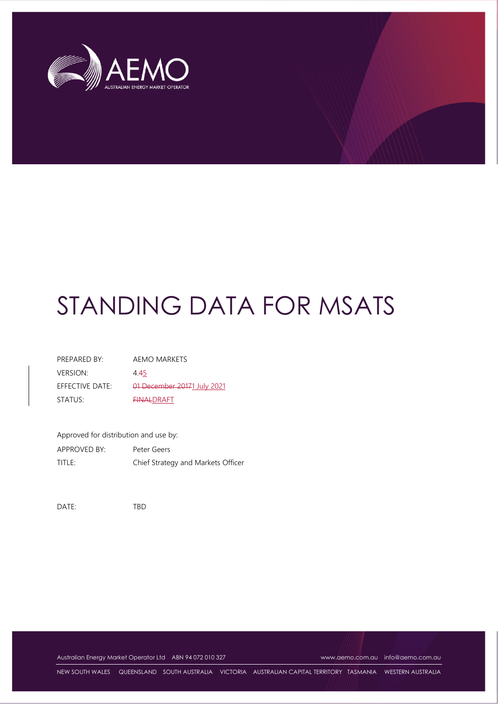

| PRFPARFD BY:        | AEMO MARKETS                |
|---------------------|-----------------------------|
| <b>VERSION:</b>     | 4.45                        |
| EFFECTIVE DATE:     | 01 December 20171 July 2021 |
| STATUS <sup>.</sup> | <b>FINALDRAFT</b>           |

Approved for distribution and use by:

APPROVED BY: Peter Geers TITLE: Chief Strategy and Markets Officer

DATE: TBD

Australian Energy Market Operator Ltd ABN 94 072 010 327 [www.aemo.com.au](http://www.aemo.com.au/) [info@aemo.com.au](mailto:info@aemo.com.au) info@aemo.com.au

NEW SOUTH WALES QUEENSLAND SOUTH AUSTRALIA VICTORIA AUSTRALIAN CAPITAL TERRITORY TASMANIA WESTERN AUSTRALIA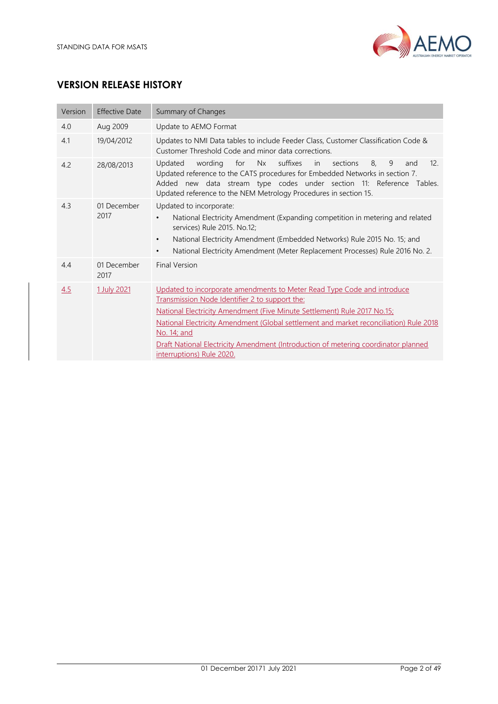

# **VERSION RELEASE HISTORY**

| Version | <b>Effective Date</b> | Summary of Changes                                                                                                                                                                                                                                                                                                                                                                                                                |  |  |
|---------|-----------------------|-----------------------------------------------------------------------------------------------------------------------------------------------------------------------------------------------------------------------------------------------------------------------------------------------------------------------------------------------------------------------------------------------------------------------------------|--|--|
| 4.0     | Aug 2009              | Update to AEMO Format                                                                                                                                                                                                                                                                                                                                                                                                             |  |  |
| 4.1     | 19/04/2012            | Updates to NMI Data tables to include Feeder Class, Customer Classification Code &<br>Customer Threshold Code and minor data corrections.                                                                                                                                                                                                                                                                                         |  |  |
| 4.2     | 28/08/2013            | Updated<br>for<br>Nx<br>suffixes<br>sections<br>8.<br>9<br>12.<br>wording<br>in<br>and<br>Updated reference to the CATS procedures for Embedded Networks in section 7.<br>Added new data stream type codes under section 11: Reference Tables.<br>Updated reference to the NEM Metrology Procedures in section 15.                                                                                                                |  |  |
| 4.3     | 01 December<br>2017   | Updated to incorporate:<br>National Electricity Amendment (Expanding competition in metering and related<br>$\bullet$<br>services) Rule 2015. No.12;<br>National Electricity Amendment (Embedded Networks) Rule 2015 No. 15; and<br>$\bullet$<br>National Electricity Amendment (Meter Replacement Processes) Rule 2016 No. 2.<br>$\bullet$                                                                                       |  |  |
| 4.4     | 01 December<br>2017   | <b>Final Version</b>                                                                                                                                                                                                                                                                                                                                                                                                              |  |  |
| 4.5     | 1 July 2021           | Updated to incorporate amendments to Meter Read Type Code and introduce<br>Transmission Node Identifier 2 to support the:<br>National Electricity Amendment (Five Minute Settlement) Rule 2017 No.15;<br>National Electricity Amendment (Global settlement and market reconciliation) Rule 2018<br>No. 14; and<br>Draft National Electricity Amendment (Introduction of metering coordinator planned<br>interruptions) Rule 2020. |  |  |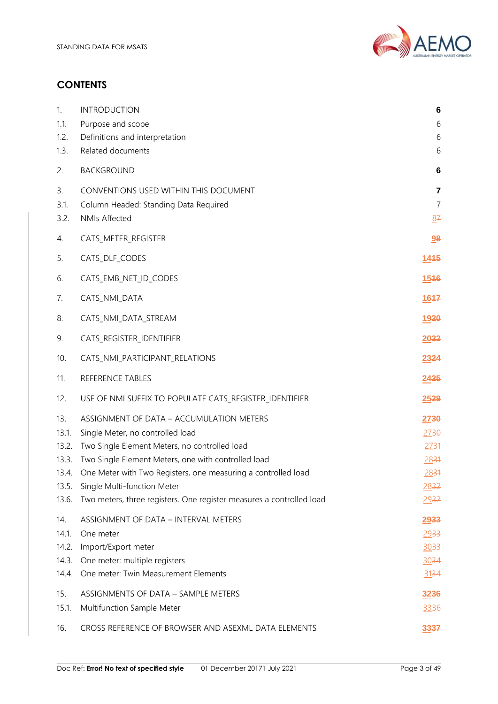

# **CONTENTS**

| 1.             | <b>INTRODUCTION</b>                                                                                 | 6                   |
|----------------|-----------------------------------------------------------------------------------------------------|---------------------|
| 1.1.           | Purpose and scope                                                                                   | 6                   |
| 1.2.<br>1.3.   | Definitions and interpretation<br>Related documents                                                 | 6<br>6              |
| 2.             | <b>BACKGROUND</b>                                                                                   | 6                   |
|                |                                                                                                     |                     |
| 3.             | CONVENTIONS USED WITHIN THIS DOCUMENT                                                               | 7<br>$\overline{7}$ |
| 3.1.<br>3.2.   | Column Headed: Standing Data Required<br><b>NMIs Affected</b>                                       | 87                  |
| 4.             | CATS_METER_REGISTER                                                                                 | 98                  |
| 5.             | CATS_DLF_CODES                                                                                      | 1445                |
| 6.             | CATS_EMB_NET_ID_CODES                                                                               | 1546                |
|                |                                                                                                     |                     |
| 7.             | CATS_NMI_DATA                                                                                       | 1647                |
| 8.             | CATS_NMI_DATA_STREAM                                                                                | 1920                |
| 9.             | CATS_REGISTER_IDENTIFIER                                                                            | 2022                |
| 10.            | CATS_NMI_PARTICIPANT_RELATIONS                                                                      | 2324                |
|                |                                                                                                     |                     |
| 11.            | REFERENCE TABLES                                                                                    | 2425                |
| 12.            | USE OF NMI SUFFIX TO POPULATE CATS_REGISTER_IDENTIFIER                                              | 2529                |
| 13.            | ASSIGNMENT OF DATA - ACCUMULATION METERS                                                            | 2730                |
| 13.1.          | Single Meter, no controlled load                                                                    | 2730                |
| 13.2.          | Two Single Element Meters, no controlled load                                                       | 2731                |
| 13.3.          | Two Single Element Meters, one with controlled load                                                 | 2831                |
| 13.4.          | One Meter with Two Registers, one measuring a controlled load                                       | 2831                |
| 13.5.<br>13.6. | Single Multi-function Meter<br>Two meters, three registers. One register measures a controlled load | 2832<br>2932        |
| 14.            | ASSIGNMENT OF DATA - INTERVAL METERS                                                                | 2933                |
| 14.1.          | One meter                                                                                           | 2933                |
| 14.2.          | Import/Export meter                                                                                 | 3033                |
| 14.3.          | One meter: multiple registers                                                                       | 3034                |
| 14.4.          | One meter: Twin Measurement Elements                                                                | 3134                |
| 15.            | ASSIGNMENTS OF DATA - SAMPLE METERS                                                                 | 3236                |
| 15.1.          | Multifunction Sample Meter                                                                          | 3336                |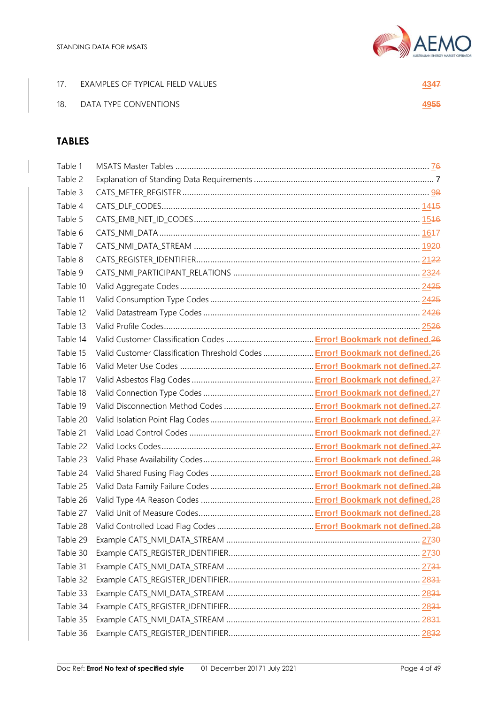

| 17. | EXAMPLES OF TYPICAL FIELD VALUES | <u>43</u> 47 |
|-----|----------------------------------|--------------|
| 18. | DATA TYPE CONVENTIONS            | 4955         |

# **TABLES**

| Table 1  |                                                                               |  |
|----------|-------------------------------------------------------------------------------|--|
| Table 2  |                                                                               |  |
| Table 3  |                                                                               |  |
| Table 4  |                                                                               |  |
| Table 5  |                                                                               |  |
| Table 6  |                                                                               |  |
| Table 7  |                                                                               |  |
| Table 8  |                                                                               |  |
| Table 9  |                                                                               |  |
| Table 10 |                                                                               |  |
| Table 11 |                                                                               |  |
| Table 12 |                                                                               |  |
| Table 13 |                                                                               |  |
| Table 14 |                                                                               |  |
| Table 15 | Valid Customer Classification Threshold Codes  Error! Bookmark not defined.26 |  |
| Table 16 |                                                                               |  |
| Table 17 |                                                                               |  |
| Table 18 |                                                                               |  |
| Table 19 |                                                                               |  |
| Table 20 |                                                                               |  |
| Table 21 |                                                                               |  |
| Table 22 |                                                                               |  |
| Table 23 |                                                                               |  |
| Table 24 |                                                                               |  |
| Table 25 |                                                                               |  |
| Table 26 |                                                                               |  |
| Table 27 |                                                                               |  |
| Table 28 |                                                                               |  |
| Table 29 |                                                                               |  |
| Table 30 |                                                                               |  |
| Table 31 |                                                                               |  |
| Table 32 |                                                                               |  |
| Table 33 |                                                                               |  |
| Table 34 |                                                                               |  |
| Table 35 |                                                                               |  |
| Table 36 |                                                                               |  |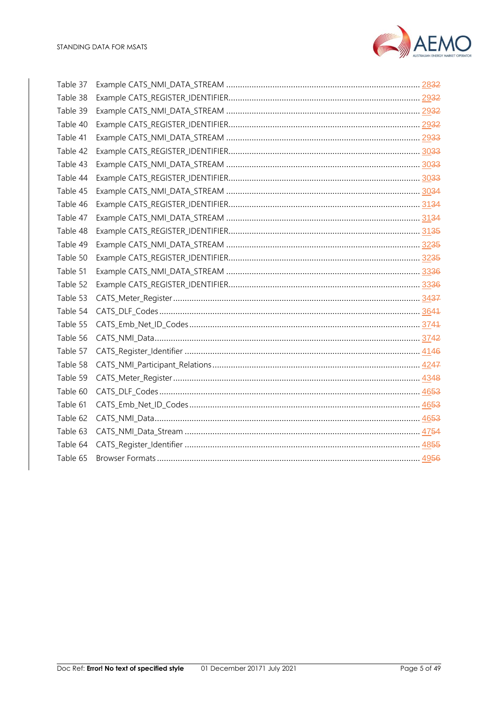

| Table 37 |  |
|----------|--|
| Table 38 |  |
| Table 39 |  |
| Table 40 |  |
| Table 41 |  |
| Table 42 |  |
| Table 43 |  |
| Table 44 |  |
| Table 45 |  |
| Table 46 |  |
| Table 47 |  |
| Table 48 |  |
| Table 49 |  |
| Table 50 |  |
| Table 51 |  |
| Table 52 |  |
| Table 53 |  |
| Table 54 |  |
| Table 55 |  |
| Table 56 |  |
| Table 57 |  |
| Table 58 |  |
| Table 59 |  |
| Table 60 |  |
| Table 61 |  |
| Table 62 |  |
| Table 63 |  |
| Table 64 |  |
| Table 65 |  |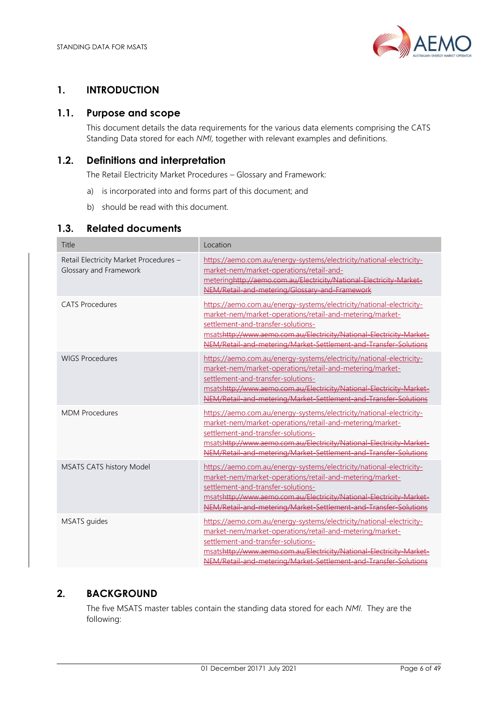

# <span id="page-5-0"></span>**1. INTRODUCTION**

# <span id="page-5-1"></span>**1.1. Purpose and scope**

This document details the data requirements for the various data elements comprising the CATS Standing Data stored for each *NMI*, together with relevant examples and definitions.

# <span id="page-5-2"></span>**1.2. Definitions and interpretation**

The Retail Electricity Market Procedures – Glossary and Framework:

- a) is incorporated into and forms part of this document; and
- b) should be read with this document.

## <span id="page-5-3"></span>**1.3. Related documents**

| Title                                                            | Location                                                                                                                                                                                                                                                                                                           |
|------------------------------------------------------------------|--------------------------------------------------------------------------------------------------------------------------------------------------------------------------------------------------------------------------------------------------------------------------------------------------------------------|
| Retail Electricity Market Procedures -<br>Glossary and Framework | https://aemo.com.au/energy-systems/electricity/national-electricity-<br>market-nem/market-operations/retail-and-<br>meteringhttp://aemo.com.au/Electricity/National-Electricity-Market-<br>NEM/Retail-and-metering/Glossary-and-Framework                                                                          |
| <b>CATS Procedures</b>                                           | https://aemo.com.au/energy-systems/electricity/national-electricity-<br>market-nem/market-operations/retail-and-metering/market-<br>settlement-and-transfer-solutions-<br>msatshttp://www.aemo.com.au/Electricity/National-Electricity-Market-<br>NEM/Retail-and-metering/Market-Settlement-and-Transfer-Solutions |
| <b>WIGS Procedures</b>                                           | https://aemo.com.au/energy-systems/electricity/national-electricity-<br>market-nem/market-operations/retail-and-metering/market-<br>settlement-and-transfer-solutions-<br>msatshttp://www.aemo.com.au/Electricity/National-Electricity-Market-<br>NEM/Retail-and-metering/Market-Settlement-and-Transfer-Solutions |
| <b>MDM Procedures</b>                                            | https://aemo.com.au/energy-systems/electricity/national-electricity-<br>market-nem/market-operations/retail-and-metering/market-<br>settlement-and-transfer-solutions-<br>msatshttp://www.aemo.com.au/Electricity/National-Electricity-Market<br>NEM/Retail-and-metering/Market-Settlement-and-Transfer-Solutions  |
| MSATS CATS history Model                                         | https://aemo.com.au/energy-systems/electricity/national-electricity-<br>market-nem/market-operations/retail-and-metering/market-<br>settlement-and-transfer-solutions-<br>msatshttp://www.aemo.com.au/Electricity/National-Electricity-Market-<br>NEM/Retail-and-metering/Market-Settlement-and-Transfer-Solutions |
| MSATS guides                                                     | https://aemo.com.au/energy-systems/electricity/national-electricity-<br>market-nem/market-operations/retail-and-metering/market-<br>settlement-and-transfer-solutions-<br>msatshttp://www.aemo.com.au/Electricity/National-Electricity-Market-<br>NEM/Retail-and-metering/Market-Settlement-and-Transfer-Solutions |

# <span id="page-5-4"></span>**2. BACKGROUND**

The five MSATS master tables contain the standing data stored for each *NMI*. They are the following: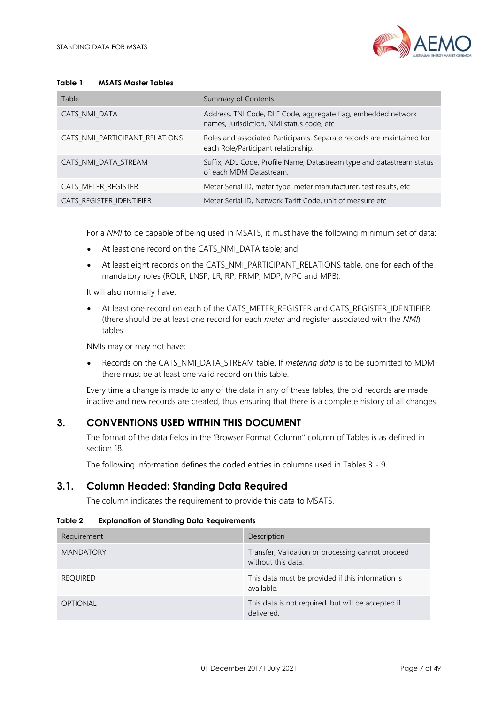

#### <span id="page-6-2"></span>**Table 1 MSATS Master Tables**

| Table                          | Summary of Contents                                                                                           |
|--------------------------------|---------------------------------------------------------------------------------------------------------------|
| CATS NMI DATA                  | Address, TNI Code, DLF Code, aggregate flag, embedded network<br>names, Jurisdiction, NMI status code, etc    |
| CATS_NMI_PARTICIPANT_RELATIONS | Roles and associated Participants. Separate records are maintained for<br>each Role/Participant relationship. |
| CATS_NMI_DATA_STREAM           | Suffix, ADL Code, Profile Name, Datastream type and datastream status<br>of each MDM Datastream.              |
| CATS METER REGISTER            | Meter Serial ID, meter type, meter manufacturer, test results, etc                                            |
| CATS_REGISTER_IDENTIFIER       | Meter Serial ID, Network Tariff Code, unit of measure etc                                                     |

For a *NMI* to be capable of being used in MSATS, it must have the following minimum set of data:

- At least one record on the CATS\_NMI\_DATA table; and
- At least eight records on the CATS\_NMI\_PARTICIPANT\_RELATIONS table, one for each of the mandatory roles (ROLR, LNSP, LR, RP, FRMP, MDP, MPC and MPB).

It will also normally have:

• At least one record on each of the CATS\_METER\_REGISTER and CATS\_REGISTER\_IDENTIFIER (there should be at least one record for each *meter* and register associated with the *NMI*) tables.

NMIs may or may not have:

• Records on the CATS\_NMI\_DATA\_STREAM table. If *metering data* is to be submitted to MDM there must be at least one valid record on this table.

Every time a change is made to any of the data in any of these tables, the old records are made inactive and new records are created, thus ensuring that there is a complete history of all changes.

# <span id="page-6-0"></span>**3. CONVENTIONS USED WITHIN THIS DOCUMENT**

The format of the data fields in the 'Browser Format Column'' column of Tables is as defined in section 18.

The following information defines the coded entries in columns used in Tables 3 - 9.

## <span id="page-6-1"></span>**3.1. Column Headed: Standing Data Required**

The column indicates the requirement to provide this data to MSATS.

#### <span id="page-6-3"></span>**Table 2 Explanation of Standing Data Requirements**

| Requirement      | Description                                                             |
|------------------|-------------------------------------------------------------------------|
| <b>MANDATORY</b> | Transfer, Validation or processing cannot proceed<br>without this data. |
| <b>REQUIRED</b>  | This data must be provided if this information is<br>available.         |
| <b>OPTIONAL</b>  | This data is not required, but will be accepted if<br>delivered.        |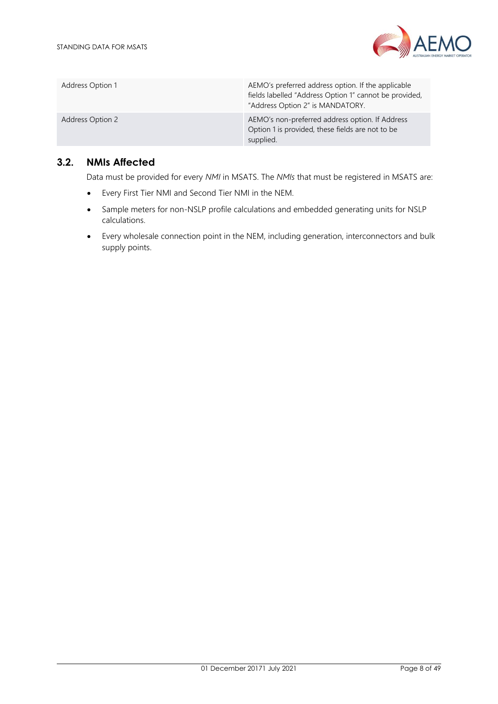

| Address Option 1 | AEMO's preferred address option. If the applicable<br>fields labelled "Address Option 1" cannot be provided,<br>"Address Option 2" is MANDATORY. |
|------------------|--------------------------------------------------------------------------------------------------------------------------------------------------|
| Address Option 2 | AEMO's non-preferred address option. If Address<br>Option 1 is provided, these fields are not to be<br>supplied.                                 |

## <span id="page-7-0"></span>**3.2. NMIs Affected**

Data must be provided for every *NMI* in MSATS. The *NMIs* that must be registered in MSATS are:

- Every First Tier NMI and Second Tier NMI in the NEM.
- Sample meters for non-NSLP profile calculations and embedded generating units for NSLP calculations.
- Every wholesale connection point in the NEM, including generation, interconnectors and bulk supply points.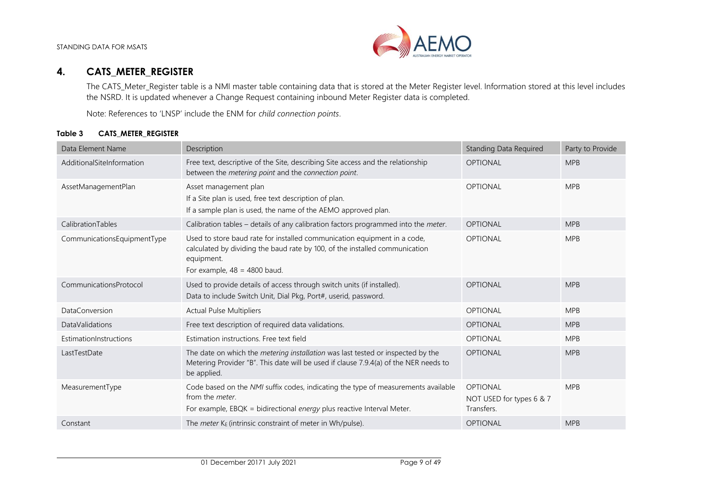

# **4. CATS\_METER\_REGISTER**

The CATS Meter Register table is a NMI master table containing data that is stored at the Meter Register level. Information stored at this level includes the NSRD. It is updated whenever a Change Request containing inbound Meter Register data is completed.

Note: References to 'LNSP' include the ENM for *child connection points*.

#### **Table 3 CATS\_METER\_REGISTER**

<span id="page-8-1"></span><span id="page-8-0"></span>

| Data Element Name           | Description                                                                                                                                                                                             | <b>Standing Data Required</b>                             | Party to Provide |
|-----------------------------|---------------------------------------------------------------------------------------------------------------------------------------------------------------------------------------------------------|-----------------------------------------------------------|------------------|
| AdditionalSiteInformation   | Free text, descriptive of the Site, describing Site access and the relationship<br>between the metering point and the connection point.                                                                 | <b>OPTIONAL</b>                                           | <b>MPB</b>       |
| AssetManagementPlan         | Asset management plan<br>If a Site plan is used, free text description of plan.<br>If a sample plan is used, the name of the AEMO approved plan.                                                        | <b>OPTIONAL</b>                                           | <b>MPB</b>       |
| CalibrationTables           | Calibration tables - details of any calibration factors programmed into the meter.                                                                                                                      | <b>OPTIONAL</b>                                           | <b>MPB</b>       |
| CommunicationsEquipmentType | Used to store baud rate for installed communication equipment in a code,<br>calculated by dividing the baud rate by 100, of the installed communication<br>equipment.<br>For example, $48 = 4800$ baud. | <b>OPTIONAL</b>                                           | <b>MPB</b>       |
| CommunicationsProtocol      | Used to provide details of access through switch units (if installed).<br>Data to include Switch Unit, Dial Pkg, Port#, userid, password.                                                               | <b>OPTIONAL</b>                                           | <b>MPB</b>       |
| <b>DataConversion</b>       | <b>Actual Pulse Multipliers</b>                                                                                                                                                                         | <b>OPTIONAL</b>                                           | <b>MPB</b>       |
| <b>DataValidations</b>      | Free text description of required data validations.                                                                                                                                                     | <b>OPTIONAL</b>                                           | <b>MPB</b>       |
| EstimationInstructions      | Estimation instructions. Free text field                                                                                                                                                                | <b>OPTIONAL</b>                                           | <b>MPB</b>       |
| LastTestDate                | The date on which the metering installation was last tested or inspected by the<br>Metering Provider "B". This date will be used if clause 7.9.4(a) of the NER needs to<br>be applied.                  | <b>OPTIONAL</b>                                           | <b>MPB</b>       |
| MeasurementType             | Code based on the NMI suffix codes, indicating the type of measurements available<br>from the <i>meter</i> .<br>For example, EBQK = bidirectional energy plus reactive Interval Meter.                  | <b>OPTIONAL</b><br>NOT USED for types 6 & 7<br>Transfers. | <b>MPB</b>       |
| Constant                    | The <i>meter</i> $K_E$ (intrinsic constraint of meter in Wh/pulse).                                                                                                                                     | <b>OPTIONAL</b>                                           | <b>MPB</b>       |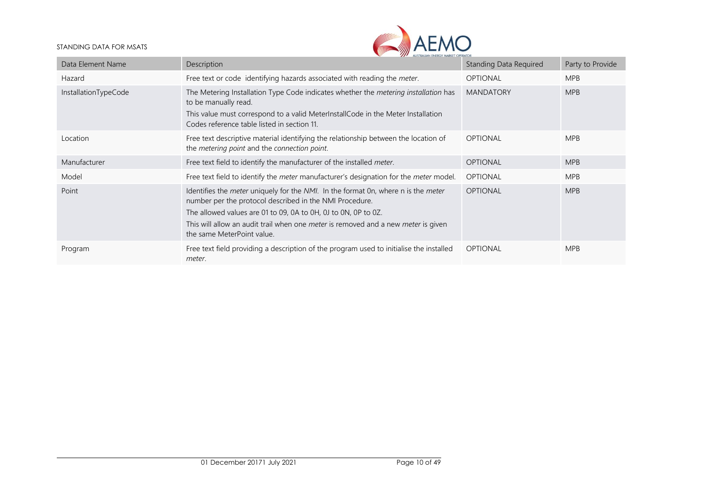

| Data Element Name    | <b>AA</b> AUSIKALIAN ENEKOT MAKKEI UPERAIUK<br>Description                                                                                                                                                                                                                                                                                                    | Standing Data Required | Party to Provide |
|----------------------|---------------------------------------------------------------------------------------------------------------------------------------------------------------------------------------------------------------------------------------------------------------------------------------------------------------------------------------------------------------|------------------------|------------------|
| Hazard               | Free text or code identifying hazards associated with reading the meter.                                                                                                                                                                                                                                                                                      | <b>OPTIONAL</b>        | <b>MPB</b>       |
| InstallationTypeCode | The Metering Installation Type Code indicates whether the <i>metering installation</i> has<br>to be manually read.<br>This value must correspond to a valid MeterInstallCode in the Meter Installation<br>Codes reference table listed in section 11.                                                                                                         | <b>MANDATORY</b>       | <b>MPB</b>       |
| Location             | Free text descriptive material identifying the relationship between the location of<br>the <i>metering point</i> and the <i>connection point</i> .                                                                                                                                                                                                            | <b>OPTIONAL</b>        | <b>MPB</b>       |
| Manufacturer         | Free text field to identify the manufacturer of the installed meter.                                                                                                                                                                                                                                                                                          | <b>OPTIONAL</b>        | <b>MPB</b>       |
| Model                | Free text field to identify the meter manufacturer's designation for the meter model.                                                                                                                                                                                                                                                                         | <b>OPTIONAL</b>        | <b>MPB</b>       |
| Point                | Identifies the <i>meter</i> uniquely for the NMI. In the format 0n, where n is the <i>meter</i><br>number per the protocol described in the NMI Procedure.<br>The allowed values are 01 to 09, 0A to 0H, 0J to 0N, 0P to 0Z.<br>This will allow an audit trail when one <i>meter</i> is removed and a new <i>meter</i> is given<br>the same MeterPoint value. | <b>OPTIONAL</b>        | <b>MPB</b>       |
| Program              | Free text field providing a description of the program used to initialise the installed<br>meter.                                                                                                                                                                                                                                                             | <b>OPTIONAL</b>        | <b>MPB</b>       |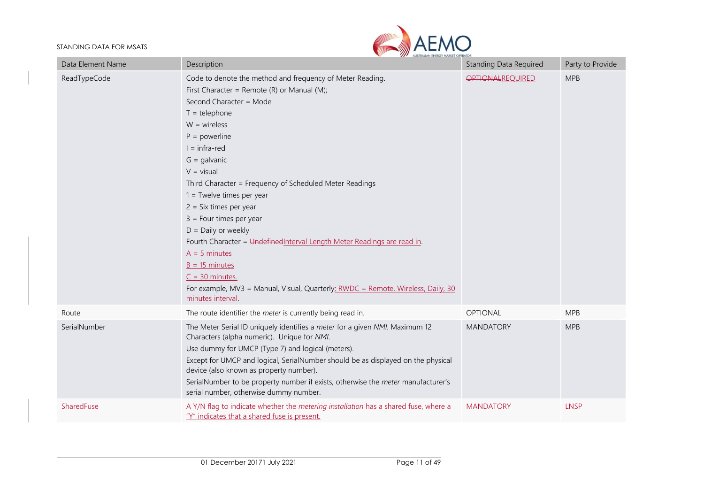

| Data Element Name | Description                                                                                                                                                                                                                                                                                                                                                                                                                                                                                                                                                                                                                                                                   | <b>Standing Data Required</b> | Party to Provide |
|-------------------|-------------------------------------------------------------------------------------------------------------------------------------------------------------------------------------------------------------------------------------------------------------------------------------------------------------------------------------------------------------------------------------------------------------------------------------------------------------------------------------------------------------------------------------------------------------------------------------------------------------------------------------------------------------------------------|-------------------------------|------------------|
| ReadTypeCode      | Code to denote the method and frequency of Meter Reading.<br>First Character = Remote (R) or Manual (M);<br>Second Character = Mode<br>$T =$ telephone<br>$W = wireless$<br>$P = powerline$<br>$I = infra-red$<br>$G =$ galvanic<br>$V = visual$<br>Third Character = Frequency of Scheduled Meter Readings<br>$1 =$ Twelve times per year<br>$2 = Six times per year$<br>$3 =$ Four times per year<br>$D =$ Daily or weekly<br>Fourth Character = Undefined Interval Length Meter Readings are read in.<br>$A = 5$ minutes<br>$B = 15$ minutes<br>$C = 30$ minutes.<br>For example, MV3 = Manual, Visual, Quarterly; RWDC = Remote, Wireless, Daily, 30<br>minutes interval. | <b>OPTIONALREQUIRED</b>       | <b>MPB</b>       |
| Route             | The route identifier the meter is currently being read in.                                                                                                                                                                                                                                                                                                                                                                                                                                                                                                                                                                                                                    | OPTIONAL                      | <b>MPB</b>       |
| SerialNumber      | The Meter Serial ID uniquely identifies a meter for a given NMI. Maximum 12<br>Characters (alpha numeric). Unique for NMI.<br>Use dummy for UMCP (Type 7) and logical (meters).<br>Except for UMCP and logical, SerialNumber should be as displayed on the physical<br>device (also known as property number).<br>SerialNumber to be property number if exists, otherwise the meter manufacturer's<br>serial number, otherwise dummy number.                                                                                                                                                                                                                                  | <b>MANDATORY</b>              | <b>MPB</b>       |
| SharedFuse        | A Y/N flag to indicate whether the metering installation has a shared fuse, where a<br>"Y" indicates that a shared fuse is present.                                                                                                                                                                                                                                                                                                                                                                                                                                                                                                                                           | <b>MANDATORY</b>              | <b>LNSP</b>      |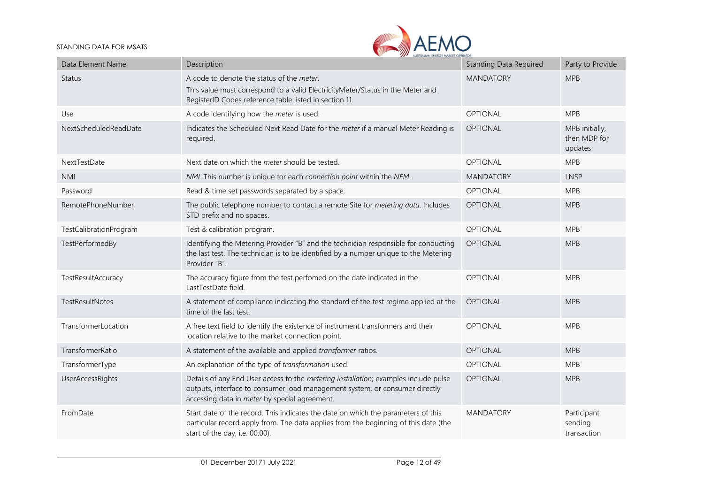

| Data Element Name      | AUSTRALIAN ENERGY MARKET OPERATOR<br>Description                                                                                                                                                                    | <b>Standing Data Required</b> | Party to Provide                          |
|------------------------|---------------------------------------------------------------------------------------------------------------------------------------------------------------------------------------------------------------------|-------------------------------|-------------------------------------------|
| Status                 | A code to denote the status of the meter.<br>This value must correspond to a valid ElectricityMeter/Status in the Meter and<br>RegisterID Codes reference table listed in section 11.                               | <b>MANDATORY</b>              | <b>MPB</b>                                |
| Use                    | A code identifying how the meter is used.                                                                                                                                                                           | OPTIONAL                      | <b>MPB</b>                                |
| NextScheduledReadDate  | Indicates the Scheduled Next Read Date for the meter if a manual Meter Reading is<br>required.                                                                                                                      | <b>OPTIONAL</b>               | MPB initially,<br>then MDP for<br>updates |
| NextTestDate           | Next date on which the <i>meter</i> should be tested.                                                                                                                                                               | <b>OPTIONAL</b>               | <b>MPB</b>                                |
| <b>NMI</b>             | NMI. This number is unique for each connection point within the NEM.                                                                                                                                                | <b>MANDATORY</b>              | <b>LNSP</b>                               |
| Password               | Read & time set passwords separated by a space.                                                                                                                                                                     | <b>OPTIONAL</b>               | <b>MPB</b>                                |
| RemotePhoneNumber      | The public telephone number to contact a remote Site for metering data. Includes<br>STD prefix and no spaces.                                                                                                       | OPTIONAL                      | <b>MPB</b>                                |
| TestCalibrationProgram | Test & calibration program.                                                                                                                                                                                         | OPTIONAL                      | <b>MPB</b>                                |
| TestPerformedBy        | Identifying the Metering Provider "B" and the technician responsible for conducting<br>the last test. The technician is to be identified by a number unique to the Metering<br>Provider "B".                        | <b>OPTIONAL</b>               | <b>MPB</b>                                |
| TestResultAccuracy     | The accuracy figure from the test perfomed on the date indicated in the<br>LastTestDate field.                                                                                                                      | <b>OPTIONAL</b>               | <b>MPB</b>                                |
| TestResultNotes        | A statement of compliance indicating the standard of the test regime applied at the<br>time of the last test.                                                                                                       | <b>OPTIONAL</b>               | <b>MPB</b>                                |
| TransformerLocation    | A free text field to identify the existence of instrument transformers and their<br>location relative to the market connection point.                                                                               | OPTIONAL                      | <b>MPB</b>                                |
| TransformerRatio       | A statement of the available and applied transformer ratios.                                                                                                                                                        | <b>OPTIONAL</b>               | <b>MPB</b>                                |
| TransformerType        | An explanation of the type of transformation used.                                                                                                                                                                  | OPTIONAL                      | <b>MPB</b>                                |
| UserAccessRights       | Details of any End User access to the metering installation; examples include pulse<br>outputs, interface to consumer load management system, or consumer directly<br>accessing data in meter by special agreement. | <b>OPTIONAL</b>               | <b>MPB</b>                                |
| FromDate               | Start date of the record. This indicates the date on which the parameters of this<br>particular record apply from. The data applies from the beginning of this date (the<br>start of the day, i.e. 00:00).          | <b>MANDATORY</b>              | Participant<br>sending<br>transaction     |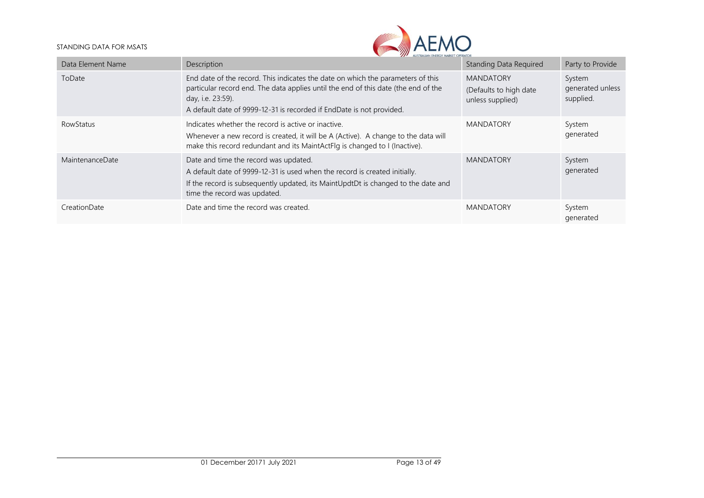

| Data Element Name | Description                                                                                                                                                                                                                                                        | Standing Data Required                                         | Party to Provide                        |
|-------------------|--------------------------------------------------------------------------------------------------------------------------------------------------------------------------------------------------------------------------------------------------------------------|----------------------------------------------------------------|-----------------------------------------|
| ToDate            | End date of the record. This indicates the date on which the parameters of this<br>particular record end. The data applies until the end of this date (the end of the<br>day, i.e. 23:59).<br>A default date of 9999-12-31 is recorded if EndDate is not provided. | <b>MANDATORY</b><br>(Defaults to high date<br>unless supplied) | System<br>generated unless<br>supplied. |
| <b>RowStatus</b>  | Indicates whether the record is active or inactive.<br>Whenever a new record is created, it will be A (Active). A change to the data will<br>make this record redundant and its MaintActFlg is changed to I (Inactive).                                            | <b>MANDATORY</b>                                               | System<br>generated                     |
| MaintenanceDate   | Date and time the record was updated.<br>A default date of 9999-12-31 is used when the record is created initially.<br>If the record is subsequently updated, its MaintUpdtDt is changed to the date and<br>time the record was updated.                           | <b>MANDATORY</b>                                               | System<br>generated                     |
| CreationDate      | Date and time the record was created.                                                                                                                                                                                                                              | <b>MANDATORY</b>                                               | System<br>generated                     |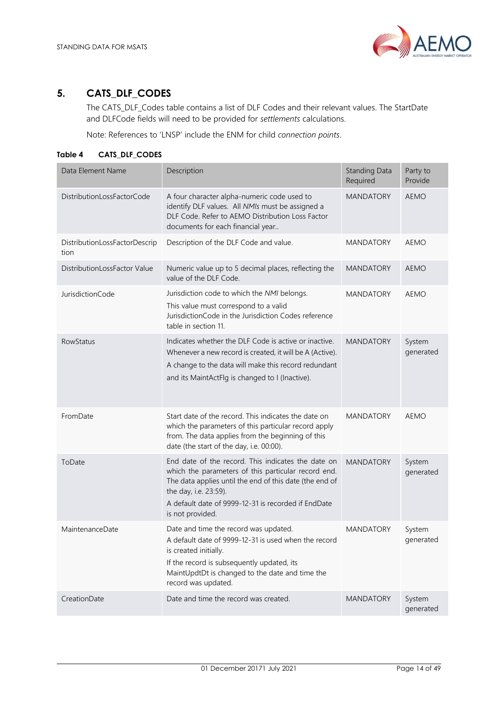

# <span id="page-13-0"></span>**5. CATS\_DLF\_CODES**

The CATS\_DLF\_Codes table contains a list of DLF Codes and their relevant values. The StartDate and DLFCode fields will need to be provided for *settlements* calculations.

Note: References to 'LNSP' include the ENM for child *connection points*.

<span id="page-13-1"></span>**Table 4 CATS\_DLF\_CODES**

| Data Element Name                     | Description                                                                                                                                                                                                                                                              | <b>Standing Data</b><br>Required | Party to<br>Provide |
|---------------------------------------|--------------------------------------------------------------------------------------------------------------------------------------------------------------------------------------------------------------------------------------------------------------------------|----------------------------------|---------------------|
| DistributionLossFactorCode            | A four character alpha-numeric code used to<br>identify DLF values. All NMIs must be assigned a<br>DLF Code. Refer to AEMO Distribution Loss Factor<br>documents for each financial year                                                                                 | <b>MANDATORY</b>                 | <b>AEMO</b>         |
| DistributionLossFactorDescrip<br>tion | Description of the DLF Code and value.                                                                                                                                                                                                                                   | <b>MANDATORY</b>                 | <b>AEMO</b>         |
| DistributionLossFactor Value          | Numeric value up to 5 decimal places, reflecting the<br>value of the DLF Code.                                                                                                                                                                                           | <b>MANDATORY</b>                 | AEMO                |
| JurisdictionCode                      | Jurisdiction code to which the NMI belongs.<br>This value must correspond to a valid<br>JurisdictionCode in the Jurisdiction Codes reference<br>table in section 11.                                                                                                     | <b>MANDATORY</b>                 | <b>AEMO</b>         |
| <b>RowStatus</b>                      | Indicates whether the DLF Code is active or inactive.<br>Whenever a new record is created, it will be A (Active).<br>A change to the data will make this record redundant<br>and its MaintActFlg is changed to I (Inactive).                                             | <b>MANDATORY</b>                 | System<br>generated |
| FromDate                              | Start date of the record. This indicates the date on<br>which the parameters of this particular record apply<br>from. The data applies from the beginning of this<br>date (the start of the day, i.e. 00:00).                                                            | <b>MANDATORY</b>                 | <b>AEMO</b>         |
| ToDate                                | End date of the record. This indicates the date on<br>which the parameters of this particular record end.<br>The data applies until the end of this date (the end of<br>the day, i.e. 23:59).<br>A default date of 9999-12-31 is recorded if EndDate<br>is not provided. | <b>MANDATORY</b>                 | System<br>generated |
| MaintenanceDate                       | Date and time the record was updated.<br>A default date of 9999-12-31 is used when the record<br>is created initially.<br>If the record is subsequently updated, its<br>MaintUpdtDt is changed to the date and time the<br>record was updated.                           | <b>MANDATORY</b>                 | System<br>generated |
| CreationDate                          | Date and time the record was created.                                                                                                                                                                                                                                    | <b>MANDATORY</b>                 | System<br>generated |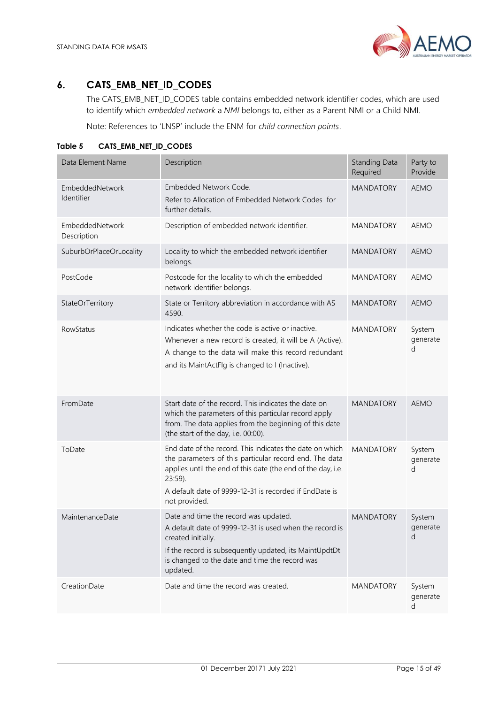

# <span id="page-14-0"></span>**6. CATS\_EMB\_NET\_ID\_CODES**

The CATS\_EMB\_NET\_ID\_CODES table contains embedded network identifier codes, which are used to identify which *embedded network* a *NMI* belongs to, either as a Parent NMI or a Child NMI.

Note: References to 'LNSP' include the ENM for *child connection points*.

| Data Element Name              | Description                                                                                                                                                                                                                                                              | <b>Standing Data</b><br>Required | Party to<br>Provide     |
|--------------------------------|--------------------------------------------------------------------------------------------------------------------------------------------------------------------------------------------------------------------------------------------------------------------------|----------------------------------|-------------------------|
| EmbeddedNetwork<br>Identifier  | Embedded Network Code.<br>Refer to Allocation of Embedded Network Codes for<br>further details.                                                                                                                                                                          | <b>MANDATORY</b>                 | <b>AEMO</b>             |
| EmbeddedNetwork<br>Description | Description of embedded network identifier.                                                                                                                                                                                                                              | <b>MANDATORY</b>                 | <b>AEMO</b>             |
| SuburbOrPlaceOrLocality        | Locality to which the embedded network identifier<br>belongs.                                                                                                                                                                                                            | <b>MANDATORY</b>                 | <b>AEMO</b>             |
| PostCode                       | Postcode for the locality to which the embedded<br>network identifier belongs.                                                                                                                                                                                           | <b>MANDATORY</b>                 | <b>AEMO</b>             |
| StateOrTerritory               | State or Territory abbreviation in accordance with AS<br>4590.                                                                                                                                                                                                           | <b>MANDATORY</b>                 | <b>AEMO</b>             |
| RowStatus                      | Indicates whether the code is active or inactive.<br>Whenever a new record is created, it will be A (Active).<br>A change to the data will make this record redundant<br>and its MaintActFlg is changed to I (Inactive).                                                 | <b>MANDATORY</b>                 | System<br>generate<br>d |
| FromDate                       | Start date of the record. This indicates the date on<br>which the parameters of this particular record apply<br>from. The data applies from the beginning of this date<br>(the start of the day, i.e. 00:00).                                                            | <b>MANDATORY</b>                 | <b>AEMO</b>             |
| ToDate                         | End date of the record. This indicates the date on which<br>the parameters of this particular record end. The data<br>applies until the end of this date (the end of the day, i.e.<br>23:59).<br>A default date of 9999-12-31 is recorded if EndDate is<br>not provided. | <b>MANDATORY</b>                 | System<br>generate<br>d |
| MaintenanceDate                | Date and time the record was updated.<br>A default date of 9999-12-31 is used when the record is<br>created initially.<br>If the record is subsequently updated, its MaintUpdtDt<br>is changed to the date and time the record was<br>updated.                           | <b>MANDATORY</b>                 | System<br>generate<br>d |
| CreationDate                   | Date and time the record was created.                                                                                                                                                                                                                                    | <b>MANDATORY</b>                 | System<br>generate<br>d |

<span id="page-14-1"></span>**Table 5 CATS\_EMB\_NET\_ID\_CODES**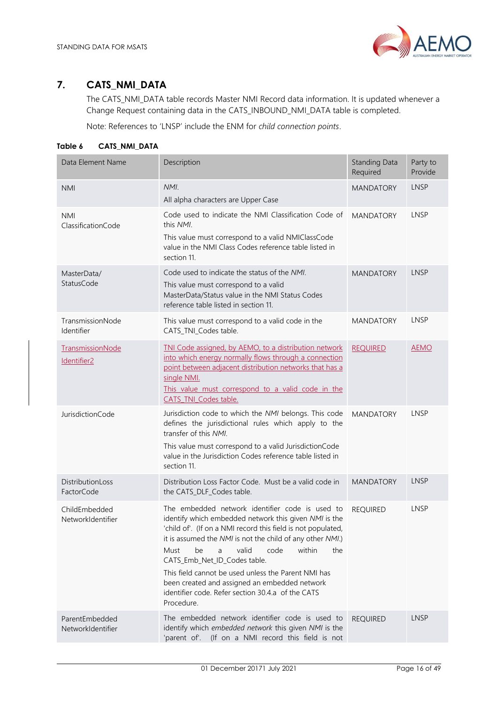

# <span id="page-15-0"></span>**7. CATS\_NMI\_DATA**

The CATS\_NMI\_DATA table records Master NMI Record data information. It is updated whenever a Change Request containing data in the CATS\_INBOUND\_NMI\_DATA table is completed.

Note: References to 'LNSP' include the ENM for *child connection points*.

## <span id="page-15-1"></span>**Table 6 CATS\_NMI\_DATA**

| Data Element Name                           | Description                                                                                                                                                                                                                                                                                                                                                                                                                                                                                           | Standing Data<br>Required | Party to<br>Provide |
|---------------------------------------------|-------------------------------------------------------------------------------------------------------------------------------------------------------------------------------------------------------------------------------------------------------------------------------------------------------------------------------------------------------------------------------------------------------------------------------------------------------------------------------------------------------|---------------------------|---------------------|
| <b>NMI</b>                                  | NMI.<br>All alpha characters are Upper Case                                                                                                                                                                                                                                                                                                                                                                                                                                                           | <b>MANDATORY</b>          | LNSP                |
| <b>NMI</b><br>ClassificationCode            | Code used to indicate the NMI Classification Code of<br>this NMI.<br>This value must correspond to a valid NMIClassCode<br>value in the NMI Class Codes reference table listed in<br>section 11.                                                                                                                                                                                                                                                                                                      | <b>MANDATORY</b>          | <b>LNSP</b>         |
| MasterData/<br>StatusCode                   | Code used to indicate the status of the NMI.<br>This value must correspond to a valid<br>MasterData/Status value in the NMI Status Codes<br>reference table listed in section 11.                                                                                                                                                                                                                                                                                                                     | <b>MANDATORY</b>          | <b>LNSP</b>         |
| TransmissionNode<br>Identifier              | This value must correspond to a valid code in the<br>CATS_TNI_Codes table.                                                                                                                                                                                                                                                                                                                                                                                                                            | <b>MANDATORY</b>          | LNSP                |
| TransmissionNode<br>Identifier <sub>2</sub> | TNI Code assigned, by AEMO, to a distribution network<br>into which energy normally flows through a connection<br>point between adjacent distribution networks that has a<br>single NMI.<br>This value must correspond to a valid code in the<br>CATS TNI Codes table.                                                                                                                                                                                                                                | <b>REQUIRED</b>           | <b>AEMO</b>         |
| JurisdictionCode                            | Jurisdiction code to which the NMI belongs. This code<br>defines the jurisdictional rules which apply to the<br>transfer of this NMI.<br>This value must correspond to a valid JurisdictionCode<br>value in the Jurisdiction Codes reference table listed in<br>section 11.                                                                                                                                                                                                                           | <b>MANDATORY</b>          | <b>LNSP</b>         |
| DistributionLoss<br>FactorCode              | Distribution Loss Factor Code. Must be a valid code in<br>the CATS_DLF_Codes table.                                                                                                                                                                                                                                                                                                                                                                                                                   | <b>MANDATORY</b>          | <b>LNSP</b>         |
| ChildEmbedded<br>NetworkIdentifier          | The embedded network identifier code is used to<br>identify which embedded network this given NMI is the<br>'child of'. (If on a NMI record this field is not populated,<br>it is assumed the NMI is not the child of any other NMI.)<br>valid<br>code<br>within<br>Must<br>be<br>a<br>the<br>CATS_Emb_Net_ID_Codes table.<br>This field cannot be used unless the Parent NMI has<br>been created and assigned an embedded network<br>identifier code. Refer section 30.4.a of the CATS<br>Procedure. | <b>REQUIRED</b>           | <b>LNSP</b>         |
| ParentEmbedded<br>NetworkIdentifier         | The embedded network identifier code is used to<br>identify which embedded network this given NMI is the<br>'parent of'. (If on a NMI record this field is not                                                                                                                                                                                                                                                                                                                                        | <b>REQUIRED</b>           | <b>LNSP</b>         |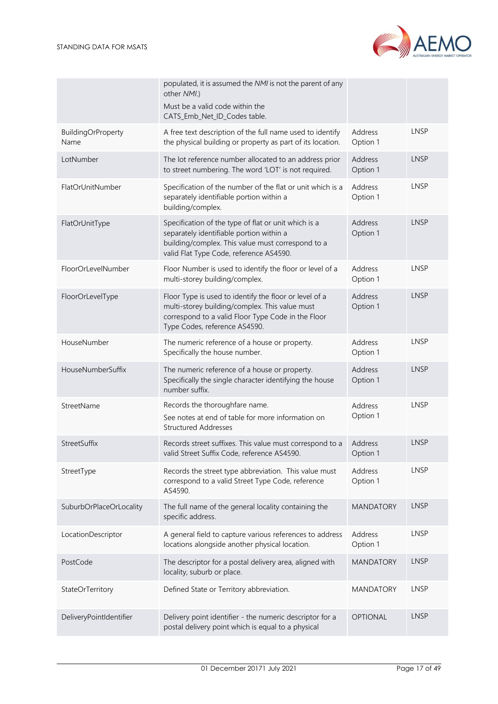|                                   | populated, it is assumed the NMI is not the parent of any<br>other NMI.)<br>Must be a valid code within the<br>CATS_Emb_Net_ID_Codes table.                                                      |                     |             |
|-----------------------------------|--------------------------------------------------------------------------------------------------------------------------------------------------------------------------------------------------|---------------------|-------------|
| <b>BuildingOrProperty</b><br>Name | A free text description of the full name used to identify<br>the physical building or property as part of its location.                                                                          | Address<br>Option 1 | LNSP        |
| LotNumber                         | The lot reference number allocated to an address prior<br>to street numbering. The word 'LOT' is not required.                                                                                   | Address<br>Option 1 | <b>LNSP</b> |
| FlatOrUnitNumber                  | Specification of the number of the flat or unit which is a<br>separately identifiable portion within a<br>building/complex.                                                                      | Address<br>Option 1 | LNSP        |
| FlatOrUnitType                    | Specification of the type of flat or unit which is a<br>separately identifiable portion within a<br>building/complex. This value must correspond to a<br>valid Flat Type Code, reference AS4590. | Address<br>Option 1 | <b>LNSP</b> |
| FloorOrLevelNumber                | Floor Number is used to identify the floor or level of a<br>multi-storey building/complex.                                                                                                       | Address<br>Option 1 | LNSP        |
| FloorOrLevelType                  | Floor Type is used to identify the floor or level of a<br>multi-storey building/complex. This value must<br>correspond to a valid Floor Type Code in the Floor<br>Type Codes, reference AS4590.  | Address<br>Option 1 | <b>LNSP</b> |
| HouseNumber                       | The numeric reference of a house or property.<br>Specifically the house number.                                                                                                                  | Address<br>Option 1 | LNSP        |
| HouseNumberSuffix                 | The numeric reference of a house or property.<br>Specifically the single character identifying the house<br>number suffix.                                                                       | Address<br>Option 1 | <b>LNSP</b> |
| StreetName                        | Records the thoroughfare name.<br>See notes at end of table for more information on<br><b>Structured Addresses</b>                                                                               | Address<br>Option 1 | <b>LNSP</b> |
| StreetSuffix                      | Records street suffixes. This value must correspond to a<br>valid Street Suffix Code, reference AS4590.                                                                                          | Address<br>Option 1 | <b>LNSP</b> |
| StreetType                        | Records the street type abbreviation. This value must<br>correspond to a valid Street Type Code, reference<br>AS4590.                                                                            | Address<br>Option 1 | <b>LNSP</b> |
| SuburbOrPlaceOrLocality           | The full name of the general locality containing the<br>specific address.                                                                                                                        | <b>MANDATORY</b>    | <b>LNSP</b> |
| LocationDescriptor                | A general field to capture various references to address<br>locations alongside another physical location.                                                                                       | Address<br>Option 1 | <b>LNSP</b> |
| PostCode                          | The descriptor for a postal delivery area, aligned with<br>locality, suburb or place.                                                                                                            | <b>MANDATORY</b>    | <b>LNSP</b> |
| StateOrTerritory                  | Defined State or Territory abbreviation.                                                                                                                                                         | <b>MANDATORY</b>    | <b>LNSP</b> |
| DeliveryPointIdentifier           | Delivery point identifier - the numeric descriptor for a<br>postal delivery point which is equal to a physical                                                                                   | <b>OPTIONAL</b>     | <b>LNSP</b> |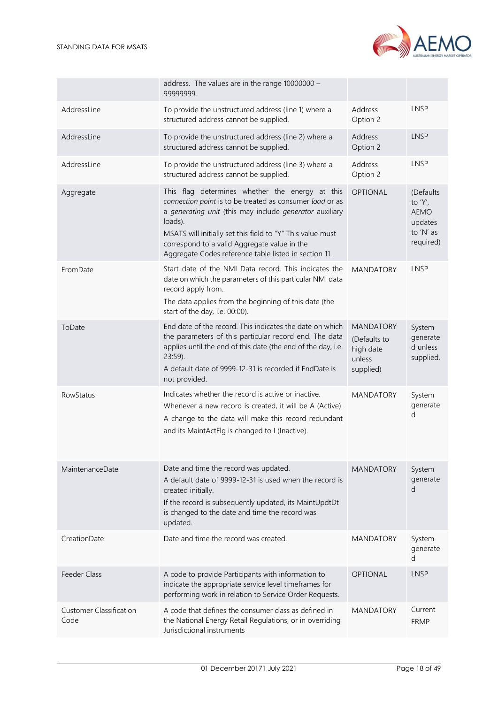

|                                        | address. The values are in the range 10000000 -<br>99999999.                                                                                                                                                                                                                                                                                             |                                                                      |                                                                          |
|----------------------------------------|----------------------------------------------------------------------------------------------------------------------------------------------------------------------------------------------------------------------------------------------------------------------------------------------------------------------------------------------------------|----------------------------------------------------------------------|--------------------------------------------------------------------------|
| AddressLine                            | To provide the unstructured address (line 1) where a<br>structured address cannot be supplied.                                                                                                                                                                                                                                                           | Address<br>Option 2                                                  | <b>LNSP</b>                                                              |
| AddressLine                            | To provide the unstructured address (line 2) where a<br>structured address cannot be supplied.                                                                                                                                                                                                                                                           | Address<br>Option 2                                                  | <b>LNSP</b>                                                              |
| AddressLine                            | To provide the unstructured address (line 3) where a<br>structured address cannot be supplied.                                                                                                                                                                                                                                                           | Address<br>Option 2                                                  | LNSP                                                                     |
| Aggregate                              | This flag determines whether the energy at this<br>connection point is to be treated as consumer load or as<br>a generating unit (this may include generator auxiliary<br>loads).<br>MSATS will initially set this field to "Y" This value must<br>correspond to a valid Aggregate value in the<br>Aggregate Codes reference table listed in section 11. | <b>OPTIONAL</b>                                                      | (Defaults<br>to 'Y',<br><b>AEMO</b><br>updates<br>to 'N' as<br>required) |
| FromDate                               | Start date of the NMI Data record. This indicates the<br>date on which the parameters of this particular NMI data<br>record apply from.<br>The data applies from the beginning of this date (the<br>start of the day, i.e. 00:00).                                                                                                                       | <b>MANDATORY</b>                                                     | <b>LNSP</b>                                                              |
| ToDate                                 | End date of the record. This indicates the date on which<br>the parameters of this particular record end. The data<br>applies until the end of this date (the end of the day, i.e.<br>$23:59$ ).<br>A default date of 9999-12-31 is recorded if EndDate is<br>not provided.                                                                              | <b>MANDATORY</b><br>(Defaults to<br>high date<br>unless<br>supplied) | System<br>generate<br>d unless<br>supplied.                              |
| RowStatus                              | Indicates whether the record is active or inactive.<br>Whenever a new record is created, it will be A (Active).<br>A change to the data will make this record redundant<br>and its MaintActFlg is changed to I (Inactive).                                                                                                                               | <b>MANDATORY</b>                                                     | System<br>generate<br>d                                                  |
| MaintenanceDate                        | Date and time the record was updated.<br>A default date of 9999-12-31 is used when the record is<br>created initially.<br>If the record is subsequently updated, its MaintUpdtDt<br>is changed to the date and time the record was<br>updated.                                                                                                           | <b>MANDATORY</b>                                                     | System<br>generate<br>d                                                  |
| CreationDate                           | Date and time the record was created.                                                                                                                                                                                                                                                                                                                    | <b>MANDATORY</b>                                                     | System<br>generate<br>d                                                  |
| Feeder Class                           | A code to provide Participants with information to<br>indicate the appropriate service level timeframes for<br>performing work in relation to Service Order Requests.                                                                                                                                                                                    | <b>OPTIONAL</b>                                                      | <b>LNSP</b>                                                              |
| <b>Customer Classification</b><br>Code | A code that defines the consumer class as defined in<br>the National Energy Retail Regulations, or in overriding<br>Jurisdictional instruments                                                                                                                                                                                                           | <b>MANDATORY</b>                                                     | Current<br><b>FRMP</b>                                                   |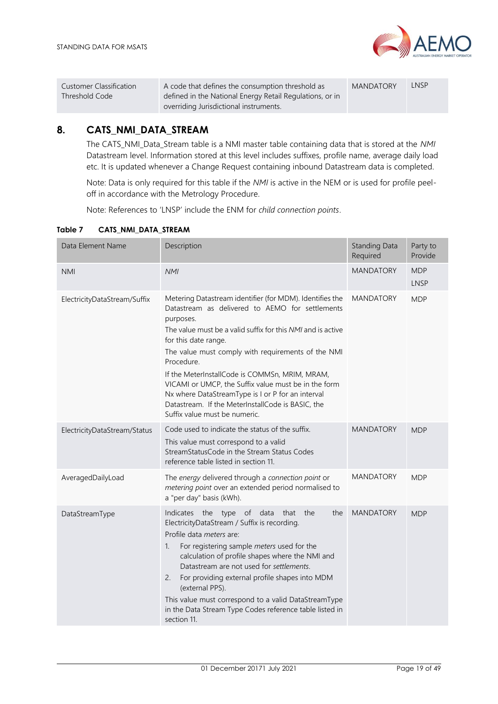

| Customer Classification | A code that defines the consumption threshold as         | <b>MANDATORY</b> | LNSP |
|-------------------------|----------------------------------------------------------|------------------|------|
| Threshold Code          | defined in the National Energy Retail Regulations, or in |                  |      |
|                         | overriding Jurisdictional instruments.                   |                  |      |

# <span id="page-18-0"></span>**8. CATS\_NMI\_DATA\_STREAM**

The CATS\_NMI\_Data\_Stream table is a NMI master table containing data that is stored at the *NMI* Datastream level. Information stored at this level includes suffixes, profile name, average daily load etc. It is updated whenever a Change Request containing inbound Datastream data is completed.

Note: Data is only required for this table if the *NMI* is active in the NEM or is used for profile peeloff in accordance with the Metrology Procedure.

Note: References to 'LNSP' include the ENM for *child connection points*.

| Data Element Name            | Description                                                                                                                                                                                                                                                                                                                                                                                                                                                                                                                              | <b>Standing Data</b><br>Required | Party to<br>Provide       |
|------------------------------|------------------------------------------------------------------------------------------------------------------------------------------------------------------------------------------------------------------------------------------------------------------------------------------------------------------------------------------------------------------------------------------------------------------------------------------------------------------------------------------------------------------------------------------|----------------------------------|---------------------------|
| <b>NMI</b>                   | <b>NMI</b>                                                                                                                                                                                                                                                                                                                                                                                                                                                                                                                               | <b>MANDATORY</b>                 | <b>MDP</b><br><b>LNSP</b> |
| ElectricityDataStream/Suffix | Metering Datastream identifier (for MDM). Identifies the<br>Datastream as delivered to AEMO for settlements<br>purposes.<br>The value must be a valid suffix for this NMI and is active<br>for this date range.<br>The value must comply with requirements of the NMI<br>Procedure.<br>If the MeterInstallCode is COMMSn, MRIM, MRAM,<br>VICAMI or UMCP, the Suffix value must be in the form<br>Nx where DataStreamType is I or P for an interval<br>Datastream. If the MeterInstallCode is BASIC, the<br>Suffix value must be numeric. | <b>MANDATORY</b>                 | <b>MDP</b>                |
| ElectricityDataStream/Status | Code used to indicate the status of the suffix.<br>This value must correspond to a valid<br>StreamStatusCode in the Stream Status Codes<br>reference table listed in section 11.                                                                                                                                                                                                                                                                                                                                                         | <b>MANDATORY</b>                 | <b>MDP</b>                |
| AveragedDailyLoad            | The energy delivered through a connection point or<br>metering point over an extended period normalised to<br>a "per day" basis (kWh).                                                                                                                                                                                                                                                                                                                                                                                                   | <b>MANDATORY</b>                 | <b>MDP</b>                |
| DataStreamType               | Indicates the type of data<br>the<br>that<br>the<br>ElectricityDataStream / Suffix is recording.<br>Profile data meters are:<br>1.<br>For registering sample meters used for the<br>calculation of profile shapes where the NMI and<br>Datastream are not used for settlements.<br>For providing external profile shapes into MDM<br>2.<br>(external PPS).<br>This value must correspond to a valid DataStreamType<br>in the Data Stream Type Codes reference table listed in<br>section 11.                                             | <b>MANDATORY</b>                 | <b>MDP</b>                |

## <span id="page-18-1"></span>**Table 7 CATS\_NMI\_DATA\_STREAM**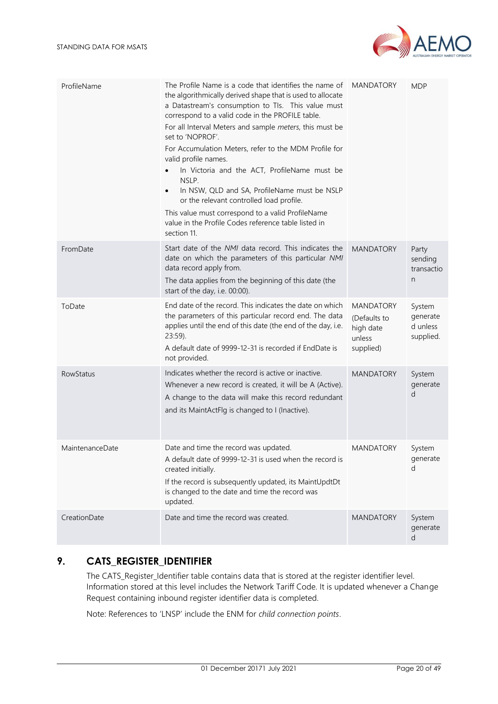

| ProfileName      | The Profile Name is a code that identifies the name of<br>the algorithmically derived shape that is used to allocate<br>a Datastream's consumption to Tls. This value must<br>correspond to a valid code in the PROFILE table.<br>For all Interval Meters and sample meters, this must be<br>set to 'NOPROF'.<br>For Accumulation Meters, refer to the MDM Profile for<br>valid profile names.<br>In Victoria and the ACT, ProfileName must be<br>NSLP.<br>In NSW, QLD and SA, ProfileName must be NSLP<br>$\bullet$<br>or the relevant controlled load profile.<br>This value must correspond to a valid ProfileName<br>value in the Profile Codes reference table listed in<br>section 11. | <b>MANDATORY</b>                                                     | <b>MDP</b>                                  |
|------------------|----------------------------------------------------------------------------------------------------------------------------------------------------------------------------------------------------------------------------------------------------------------------------------------------------------------------------------------------------------------------------------------------------------------------------------------------------------------------------------------------------------------------------------------------------------------------------------------------------------------------------------------------------------------------------------------------|----------------------------------------------------------------------|---------------------------------------------|
| FromDate         | Start date of the NMI data record. This indicates the<br>date on which the parameters of this particular NMI<br>data record apply from.<br>The data applies from the beginning of this date (the<br>start of the day, i.e. 00:00).                                                                                                                                                                                                                                                                                                                                                                                                                                                           | <b>MANDATORY</b>                                                     | Party<br>sending<br>transactio<br>n         |
| ToDate           | End date of the record. This indicates the date on which<br>the parameters of this particular record end. The data<br>applies until the end of this date (the end of the day, i.e.<br>$23:59$ ).<br>A default date of 9999-12-31 is recorded if EndDate is<br>not provided.                                                                                                                                                                                                                                                                                                                                                                                                                  | <b>MANDATORY</b><br>(Defaults to<br>high date<br>unless<br>supplied) | System<br>generate<br>d unless<br>supplied. |
| <b>RowStatus</b> | Indicates whether the record is active or inactive.<br>Whenever a new record is created, it will be A (Active).<br>A change to the data will make this record redundant<br>and its MaintActFlg is changed to I (Inactive).                                                                                                                                                                                                                                                                                                                                                                                                                                                                   | <b>MANDATORY</b>                                                     | System<br>generate<br>d                     |
| MaintenanceDate  | Date and time the record was updated.<br>A default date of 9999-12-31 is used when the record is<br>created initially.<br>If the record is subsequently updated, its MaintUpdtDt<br>is changed to the date and time the record was<br>updated.                                                                                                                                                                                                                                                                                                                                                                                                                                               | MANDATORY                                                            | System<br>generate<br>d                     |
| CreationDate     | Date and time the record was created.                                                                                                                                                                                                                                                                                                                                                                                                                                                                                                                                                                                                                                                        | MANDATORY                                                            | System<br>generate<br>d                     |

# <span id="page-19-0"></span>**9. CATS\_REGISTER\_IDENTIFIER**

The CATS\_Register\_Identifier table contains data that is stored at the register identifier level. Information stored at this level includes the Network Tariff Code. It is updated whenever a Change Request containing inbound register identifier data is completed.

Note: References to 'LNSP' include the ENM for *child connection points*.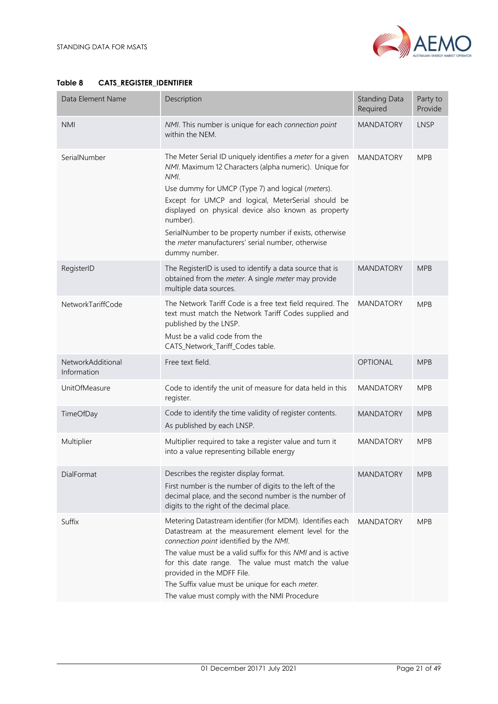

| Data Element Name                | Description                                                                                                                                                                                                                                                                                                                                                                                                                                  | <b>Standing Data</b><br>Required | Party to<br>Provide |
|----------------------------------|----------------------------------------------------------------------------------------------------------------------------------------------------------------------------------------------------------------------------------------------------------------------------------------------------------------------------------------------------------------------------------------------------------------------------------------------|----------------------------------|---------------------|
| <b>NMI</b>                       | NMI. This number is unique for each connection point<br>within the NEM.                                                                                                                                                                                                                                                                                                                                                                      | <b>MANDATORY</b>                 | <b>LNSP</b>         |
| SerialNumber                     | The Meter Serial ID uniquely identifies a meter for a given<br>NMI. Maximum 12 Characters (alpha numeric). Unique for<br>NMI.<br>Use dummy for UMCP (Type 7) and logical (meters).<br>Except for UMCP and logical, MeterSerial should be<br>displayed on physical device also known as property<br>number).<br>SerialNumber to be property number if exists, otherwise<br>the meter manufacturers' serial number, otherwise<br>dummy number. | <b>MANDATORY</b>                 | <b>MPB</b>          |
| RegisterID                       | The RegisterID is used to identify a data source that is<br>obtained from the meter. A single meter may provide<br>multiple data sources.                                                                                                                                                                                                                                                                                                    | <b>MANDATORY</b>                 | <b>MPB</b>          |
| NetworkTariffCode                | The Network Tariff Code is a free text field required. The<br>text must match the Network Tariff Codes supplied and<br>published by the LNSP.<br>Must be a valid code from the<br>CATS_Network_Tariff_Codes table.                                                                                                                                                                                                                           | <b>MANDATORY</b>                 | <b>MPB</b>          |
| NetworkAdditional<br>Information | Free text field.                                                                                                                                                                                                                                                                                                                                                                                                                             | <b>OPTIONAL</b>                  | <b>MPB</b>          |
| UnitOfMeasure                    | Code to identify the unit of measure for data held in this<br>register.                                                                                                                                                                                                                                                                                                                                                                      | <b>MANDATORY</b>                 | <b>MPB</b>          |
| TimeOfDay                        | Code to identify the time validity of register contents.<br>As published by each LNSP.                                                                                                                                                                                                                                                                                                                                                       | <b>MANDATORY</b>                 | <b>MPB</b>          |
| Multiplier                       | Multiplier required to take a register value and turn it<br>into a value representing billable energy                                                                                                                                                                                                                                                                                                                                        | <b>MANDATORY</b>                 | <b>MPB</b>          |
| DialFormat                       | Describes the register display format.<br>First number is the number of digits to the left of the<br>decimal place, and the second number is the number of<br>digits to the right of the decimal place.                                                                                                                                                                                                                                      | <b>MANDATORY</b>                 | <b>MPB</b>          |
| Suffix                           | Metering Datastream identifier (for MDM). Identifies each<br>Datastream at the measurement element level for the<br>connection point identified by the NMI.<br>The value must be a valid suffix for this NMI and is active<br>for this date range. The value must match the value<br>provided in the MDFF File.<br>The Suffix value must be unique for each meter.<br>The value must comply with the NMI Procedure                           | <b>MANDATORY</b>                 | <b>MPB</b>          |

## <span id="page-20-0"></span>**Table 8 CATS\_REGISTER\_IDENTIFIER**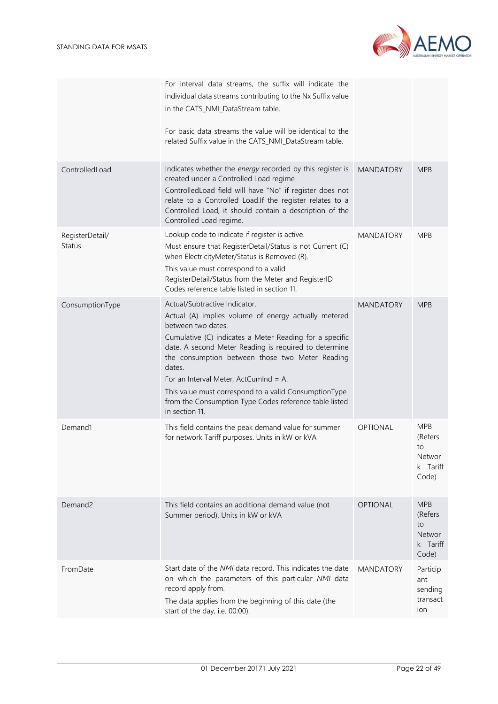

|                           | For interval data streams, the suffix will indicate the<br>individual data streams contributing to the Nx Suffix value<br>in the CATS_NMI_DataStream table.<br>For basic data streams the value will be identical to the<br>related Suffix value in the CATS_NMI_DataStream table.                                                                                                                                                                                         |                  |                                                                   |
|---------------------------|----------------------------------------------------------------------------------------------------------------------------------------------------------------------------------------------------------------------------------------------------------------------------------------------------------------------------------------------------------------------------------------------------------------------------------------------------------------------------|------------------|-------------------------------------------------------------------|
| ControlledLoad            | Indicates whether the energy recorded by this register is<br>created under a Controlled Load regime<br>ControlledLoad field will have "No" if register does not<br>relate to a Controlled Load.If the register relates to a<br>Controlled Load, it should contain a description of the<br>Controlled Load regime.                                                                                                                                                          | <b>MANDATORY</b> | <b>MPB</b>                                                        |
| RegisterDetail/<br>Status | Lookup code to indicate if register is active.<br>Must ensure that RegisterDetail/Status is not Current (C)<br>when ElectricityMeter/Status is Removed (R).<br>This value must correspond to a valid<br>RegisterDetail/Status from the Meter and RegisterID<br>Codes reference table listed in section 11.                                                                                                                                                                 | <b>MANDATORY</b> | <b>MPB</b>                                                        |
| ConsumptionType           | Actual/Subtractive Indicator.<br>Actual (A) implies volume of energy actually metered<br>between two dates.<br>Cumulative (C) indicates a Meter Reading for a specific<br>date. A second Meter Reading is required to determine<br>the consumption between those two Meter Reading<br>dates.<br>For an Interval Meter, ActCumInd = A.<br>This value must correspond to a valid ConsumptionType<br>from the Consumption Type Codes reference table listed<br>in section 11. | <b>MANDATORY</b> | <b>MPB</b>                                                        |
| Demand1                   | This field contains the peak demand value for summer<br>for network Tariff purposes. Units in kW or kVA                                                                                                                                                                                                                                                                                                                                                                    | <b>OPTIONAL</b>  | <b>MPB</b><br>(Refers<br>to<br>Networ<br>k Tariff<br>Code)        |
| Demand <sub>2</sub>       | This field contains an additional demand value (not<br>Summer period). Units in kW or kVA                                                                                                                                                                                                                                                                                                                                                                                  | <b>OPTIONAL</b>  | <b>MPB</b><br>(Refers<br>to<br><b>Networ</b><br>k Tariff<br>Code) |
| FromDate                  | Start date of the <i>NMI</i> data record. This indicates the date<br>on which the parameters of this particular NMI data<br>record apply from.<br>The data applies from the beginning of this date (the<br>start of the day, i.e. 00:00).                                                                                                                                                                                                                                  | <b>MANDATORY</b> | Particip<br>ant<br>sending<br>transact<br>ion                     |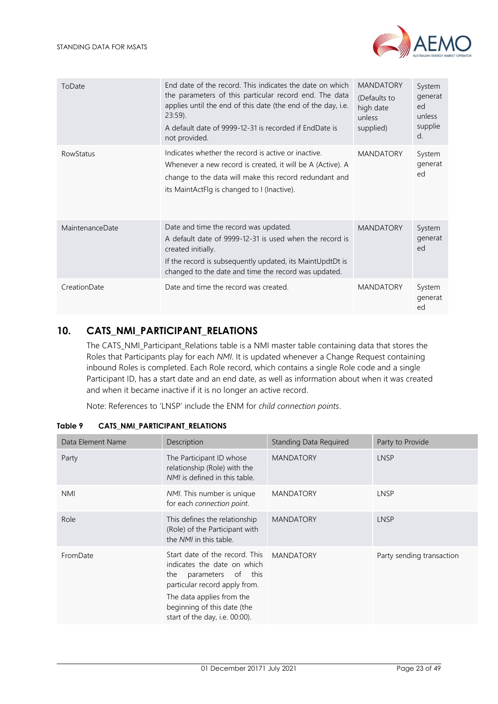

| ToDate                 | End date of the record. This indicates the date on which<br>the parameters of this particular record end. The data<br>applies until the end of this date (the end of the day, i.e.<br>$23:59$ ).<br>A default date of 9999-12-31 is recorded if EndDate is<br>not provided. | <b>MANDATORY</b><br>(Defaults to<br>high date<br>unless<br>supplied) | System<br>generat<br>ed<br>unless<br>supplie<br>d. |
|------------------------|-----------------------------------------------------------------------------------------------------------------------------------------------------------------------------------------------------------------------------------------------------------------------------|----------------------------------------------------------------------|----------------------------------------------------|
| <b>RowStatus</b>       | Indicates whether the record is active or inactive.<br>Whenever a new record is created, it will be A (Active). A<br>change to the data will make this record redundant and<br>its MaintActFlg is changed to I (Inactive).                                                  | <b>MANDATORY</b>                                                     | System<br>generat<br>ed                            |
| <b>MaintenanceDate</b> | Date and time the record was updated.<br>A default date of 9999-12-31 is used when the record is<br>created initially.<br>If the record is subsequently updated, its MaintUpdtDt is<br>changed to the date and time the record was updated.                                 | <b>MANDATORY</b>                                                     | System<br>generat<br>ed                            |
| CreationDate           | Date and time the record was created.                                                                                                                                                                                                                                       | <b>MANDATORY</b>                                                     | System<br>generat<br>ed                            |

# <span id="page-22-0"></span>**10. CATS\_NMI\_PARTICIPANT\_RELATIONS**

The CATS\_NMI\_Participant\_Relations table is a NMI master table containing data that stores the Roles that Participants play for each *NMI*. It is updated whenever a Change Request containing inbound Roles is completed. Each Role record, which contains a single Role code and a single Participant ID, has a start date and an end date, as well as information about when it was created and when it became inactive if it is no longer an active record.

Note: References to 'LNSP' include the ENM for *child connection points*.

| Data Element Name | Description                                                                                                                                                                                                               | <b>Standing Data Required</b> | Party to Provide          |
|-------------------|---------------------------------------------------------------------------------------------------------------------------------------------------------------------------------------------------------------------------|-------------------------------|---------------------------|
| Party             | The Participant ID whose<br>relationship (Role) with the<br>NMI is defined in this table.                                                                                                                                 | <b>MANDATORY</b>              | <b>LNSP</b>               |
| <b>NMI</b>        | NMI. This number is unique<br>for each connection point.                                                                                                                                                                  | <b>MANDATORY</b>              | LNSP                      |
| Role              | This defines the relationship<br>(Role) of the Participant with<br>the NMI in this table.                                                                                                                                 | <b>MANDATORY</b>              | <b>LNSP</b>               |
| FromDate          | Start date of the record. This<br>indicates the date on which<br>parameters of this<br>the<br>particular record apply from.<br>The data applies from the<br>beginning of this date (the<br>start of the day, i.e. 00:00). | MANDATORY                     | Party sending transaction |

<span id="page-22-1"></span>**Table 9 CATS\_NMI\_PARTICIPANT\_RELATIONS**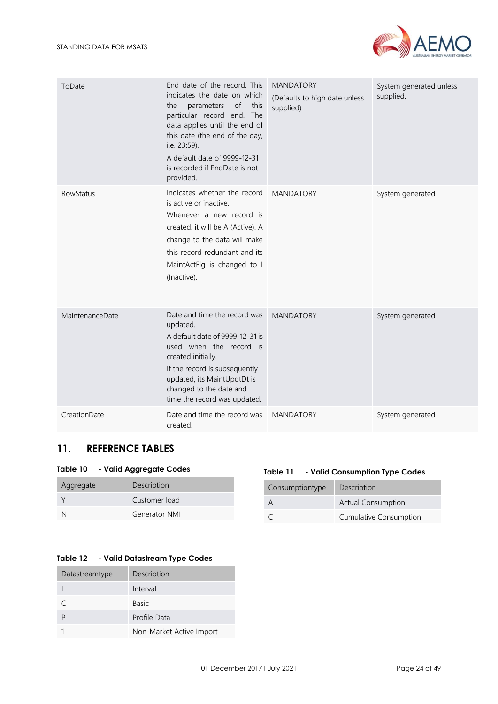

| ToDate           | End date of the record. This<br>indicates the date on which<br>of<br>this<br>parameters<br>the<br>particular record end. The<br>data applies until the end of<br>this date (the end of the day,<br>i.e. 23:59).<br>A default date of 9999-12-31<br>is recorded if EndDate is not<br>provided. | <b>MANDATORY</b><br>(Defaults to high date unless<br>supplied) | System generated unless<br>supplied. |
|------------------|-----------------------------------------------------------------------------------------------------------------------------------------------------------------------------------------------------------------------------------------------------------------------------------------------|----------------------------------------------------------------|--------------------------------------|
| <b>RowStatus</b> | Indicates whether the record<br>is active or inactive.<br>Whenever a new record is<br>created, it will be A (Active). A<br>change to the data will make<br>this record redundant and its<br>MaintActFlg is changed to I<br>(Inactive).                                                        | <b>MANDATORY</b>                                               | System generated                     |
| MaintenanceDate  | Date and time the record was<br>updated.<br>A default date of 9999-12-31 is<br>used when the record is<br>created initially.<br>If the record is subsequently<br>updated, its MaintUpdtDt is<br>changed to the date and<br>time the record was updated.                                       | <b>MANDATORY</b>                                               | System generated                     |
| CreationDate     | Date and time the record was<br>created.                                                                                                                                                                                                                                                      | <b>MANDATORY</b>                                               | System generated                     |

# <span id="page-23-0"></span>**11. REFERENCE TABLES**

## <span id="page-23-1"></span>**Table 10 - Valid Aggregate Codes**

| Aggregate | Description          |
|-----------|----------------------|
|           | Customer load        |
| N         | <b>Generator NMI</b> |

## <span id="page-23-3"></span>**Table 12 - Valid Datastream Type Codes**

| Datastreamtype | Description              |
|----------------|--------------------------|
|                | Interval                 |
|                | <b>Basic</b>             |
|                | Profile Data             |
|                | Non-Market Active Import |

## **Table 11 - Valid Consumption Type Codes**

<span id="page-23-2"></span>

| Consumptiontype | Description                   |
|-----------------|-------------------------------|
|                 | <b>Actual Consumption</b>     |
|                 | <b>Cumulative Consumption</b> |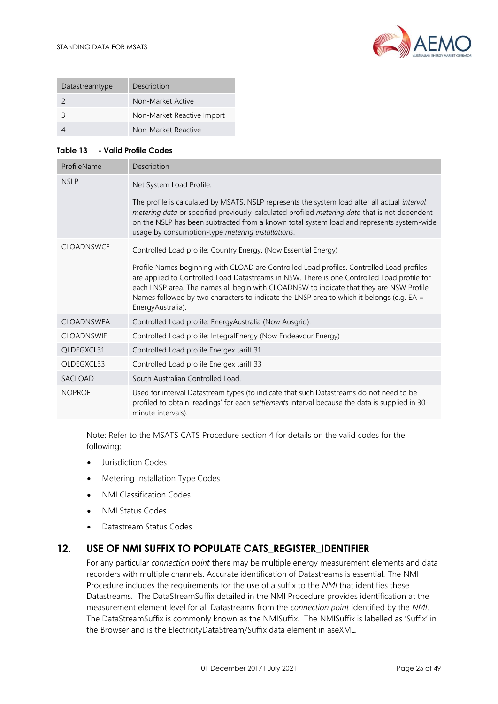

| Datastreamtype | Description                |
|----------------|----------------------------|
|                | Non-Market Active          |
|                | Non-Market Reactive Import |
|                | Non-Market Reactive        |

## <span id="page-24-1"></span>**Table 13 - Valid Profile Codes**

| ProfileName       | Description                                                                                                                                                                                                                                                                                                                                                                                           |
|-------------------|-------------------------------------------------------------------------------------------------------------------------------------------------------------------------------------------------------------------------------------------------------------------------------------------------------------------------------------------------------------------------------------------------------|
| <b>NSLP</b>       | Net System Load Profile.                                                                                                                                                                                                                                                                                                                                                                              |
|                   | The profile is calculated by MSATS. NSLP represents the system load after all actual interval<br>metering data or specified previously-calculated profiled metering data that is not dependent<br>on the NSLP has been subtracted from a known total system load and represents system-wide<br>usage by consumption-type metering installations.                                                      |
| CLOADNSWCE        | Controlled Load profile: Country Energy. (Now Essential Energy)                                                                                                                                                                                                                                                                                                                                       |
|                   | Profile Names beginning with CLOAD are Controlled Load profiles. Controlled Load profiles<br>are applied to Controlled Load Datastreams in NSW. There is one Controlled Load profile for<br>each LNSP area. The names all begin with CLOADNSW to indicate that they are NSW Profile<br>Names followed by two characters to indicate the LNSP area to which it belongs (e.g. EA =<br>EnergyAustralia). |
| <b>CLOADNSWEA</b> | Controlled Load profile: EnergyAustralia (Now Ausgrid).                                                                                                                                                                                                                                                                                                                                               |
| <b>CLOADNSWIE</b> | Controlled Load profile: IntegralEnergy (Now Endeavour Energy)                                                                                                                                                                                                                                                                                                                                        |
| QLDEGXCL31        | Controlled Load profile Energex tariff 31                                                                                                                                                                                                                                                                                                                                                             |
| QLDEGXCL33        | Controlled Load profile Energex tariff 33                                                                                                                                                                                                                                                                                                                                                             |
| SACLOAD           | South Australian Controlled Load.                                                                                                                                                                                                                                                                                                                                                                     |
| <b>NOPROF</b>     | Used for interval Datastream types (to indicate that such Datastreams do not need to be<br>profiled to obtain 'readings' for each settlements interval because the data is supplied in 30-<br>minute intervals).                                                                                                                                                                                      |

Note: Refer to the MSATS CATS Procedure section 4 for details on the valid codes for the following:

- Jurisdiction Codes
- Metering Installation Type Codes
- NMI Classification Codes
- NMI Status Codes
- Datastream Status Codes

# <span id="page-24-0"></span>**12. USE OF NMI SUFFIX TO POPULATE CATS\_REGISTER\_IDENTIFIER**

For any particular *connection point* there may be multiple energy measurement elements and data recorders with multiple channels. Accurate identification of Datastreams is essential. The NMI Procedure includes the requirements for the use of a suffix to the *NMI* that identifies these Datastreams. The DataStreamSuffix detailed in the NMI Procedure provides identification at the measurement element level for all Datastreams from the *connection point* identified by the *NMI*. The DataStreamSuffix is commonly known as the NMISuffix. The NMISuffix is labelled as 'Suffix' in the Browser and is the ElectricityDataStream/Suffix data element in aseXML.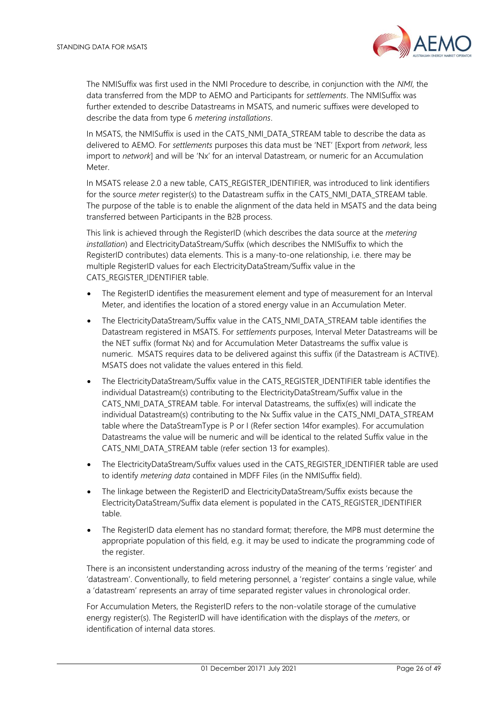

The NMISuffix was first used in the NMI Procedure to describe, in conjunction with the *NMI*, the data transferred from the MDP to AEMO and Participants for *settlements*. The NMISuffix was further extended to describe Datastreams in MSATS, and numeric suffixes were developed to describe the data from type 6 *metering installations*.

In MSATS, the NMISuffix is used in the CATS\_NMI\_DATA\_STREAM table to describe the data as delivered to AEMO. For *settlements* purposes this data must be 'NET' [Export from *network*, less import to *network*] and will be 'Nx' for an interval Datastream, or numeric for an Accumulation **Meter** 

In MSATS release 2.0 a new table, CATS\_REGISTER\_IDENTIFIER, was introduced to link identifiers for the source *meter* register(s) to the Datastream suffix in the CATS NMI\_DATA\_STREAM table. The purpose of the table is to enable the alignment of the data held in MSATS and the data being transferred between Participants in the B2B process.

This link is achieved through the RegisterID (which describes the data source at the *metering installation*) and ElectricityDataStream/Suffix (which describes the NMISuffix to which the RegisterID contributes) data elements. This is a many-to-one relationship, i.e. there may be multiple RegisterID values for each ElectricityDataStream/Suffix value in the CATS\_REGISTER\_IDENTIFIER table.

- The RegisterID identifies the measurement element and type of measurement for an Interval Meter, and identifies the location of a stored energy value in an Accumulation Meter.
- The ElectricityDataStream/Suffix value in the CATS\_NMI\_DATA\_STREAM table identifies the Datastream registered in MSATS. For *settlements* purposes, Interval Meter Datastreams will be the NET suffix (format Nx) and for Accumulation Meter Datastreams the suffix value is numeric. MSATS requires data to be delivered against this suffix (if the Datastream is ACTIVE). MSATS does not validate the values entered in this field.
- The ElectricityDataStream/Suffix value in the CATS\_REGISTER\_IDENTIFIER table identifies the individual Datastream(s) contributing to the ElectricityDataStream/Suffix value in the CATS\_NMI\_DATA\_STREAM table. For interval Datastreams, the suffix(es) will indicate the individual Datastream(s) contributing to the Nx Suffix value in the CATS\_NMI\_DATA\_STREAM table where the DataStreamType is P or I (Refer section 14for examples). For accumulation Datastreams the value will be numeric and will be identical to the related Suffix value in the CATS\_NMI\_DATA\_STREAM table (refer section 13 for examples).
- The ElectricityDataStream/Suffix values used in the CATS\_REGISTER\_IDENTIFIER table are used to identify *metering data* contained in MDFF Files (in the NMISuffix field).
- The linkage between the RegisterID and ElectricityDataStream/Suffix exists because the ElectricityDataStream/Suffix data element is populated in the CATS\_REGISTER\_IDENTIFIER table.
- The RegisterID data element has no standard format; therefore, the MPB must determine the appropriate population of this field, e.g. it may be used to indicate the programming code of the register.

There is an inconsistent understanding across industry of the meaning of the terms 'register' and 'datastream'. Conventionally, to field metering personnel, a 'register' contains a single value, while a 'datastream' represents an array of time separated register values in chronological order.

For Accumulation Meters, the RegisterID refers to the non-volatile storage of the cumulative energy register(s). The RegisterID will have identification with the displays of the *meters*, or identification of internal data stores.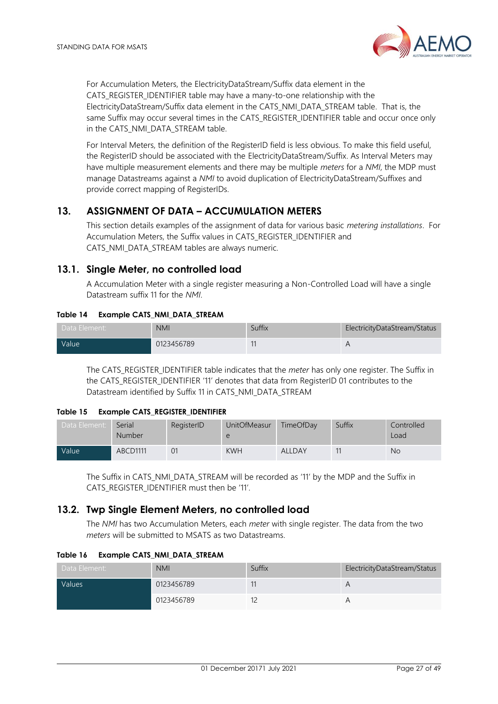

For Accumulation Meters, the ElectricityDataStream/Suffix data element in the CATS\_REGISTER\_IDENTIFIER table may have a many-to-one relationship with the ElectricityDataStream/Suffix data element in the CATS\_NMI\_DATA\_STREAM table. That is, the same Suffix may occur several times in the CATS\_REGISTER\_IDENTIFIER table and occur once only in the CATS\_NMI\_DATA\_STREAM table.

For Interval Meters, the definition of the RegisterID field is less obvious. To make this field useful, the RegisterID should be associated with the ElectricityDataStream/Suffix. As Interval Meters may have multiple measurement elements and there may be multiple *meters* for a *NMI*, the MDP must manage Datastreams against a *NMI* to avoid duplication of ElectricityDataStream/Suffixes and provide correct mapping of RegisterIDs.

# <span id="page-26-0"></span>**13. ASSIGNMENT OF DATA – ACCUMULATION METERS**

This section details examples of the assignment of data for various basic *metering installations*. For Accumulation Meters, the Suffix values in CATS\_REGISTER\_IDENTIFIER and CATS\_NMI\_DATA\_STREAM tables are always numeric.

# <span id="page-26-1"></span>**13.1. Single Meter, no controlled load**

A Accumulation Meter with a single register measuring a Non-Controlled Load will have a single Datastream suffix 11 for the *NMI*.

## <span id="page-26-3"></span>**Table 14 Example CATS\_NMI\_DATA\_STREAM**

| Data Element:      | <b>NMI</b> | Suffix | ElectricityDataStream/Status |
|--------------------|------------|--------|------------------------------|
| Value <sup>1</sup> | 0123456789 | 11     |                              |

The CATS\_REGISTER\_IDENTIFIER table indicates that the *meter* has only one register. The Suffix in the CATS\_REGISTER\_IDENTIFIER '11' denotes that data from RegisterID 01 contributes to the Datastream identified by Suffix 11 in CATS\_NMI\_DATA\_STREAM

## <span id="page-26-4"></span>**Table 15 Example CATS\_REGISTER\_IDENTIFIER**

| Data Element: | Serial<br><b>Number</b> | RegisterID | <b>UnitOfMeasur</b><br>e | TimeOfDay     | Suffix | Controlled<br>Load |
|---------------|-------------------------|------------|--------------------------|---------------|--------|--------------------|
| Value         | ABCD1111                |            | <b>KWH</b>               | <b>ALLDAY</b> |        | No                 |

The Suffix in CATS\_NMI\_DATA\_STREAM will be recorded as '11' by the MDP and the Suffix in CATS\_REGISTER\_IDENTIFIER must then be '11'.

# <span id="page-26-2"></span>**13.2. Twp Single Element Meters, no controlled load**

The *NMI* has two Accumulation Meters, each *meter* with single register. The data from the two *meters* will be submitted to MSATS as two Datastreams.

## <span id="page-26-5"></span>**Table 16 Example CATS\_NMI\_DATA\_STREAM**

| Data Element: | <b>NMI</b> | Suffix | ElectricityDataStream/Status |
|---------------|------------|--------|------------------------------|
| Values        | 0123456789 |        |                              |
|               | 0123456789 |        |                              |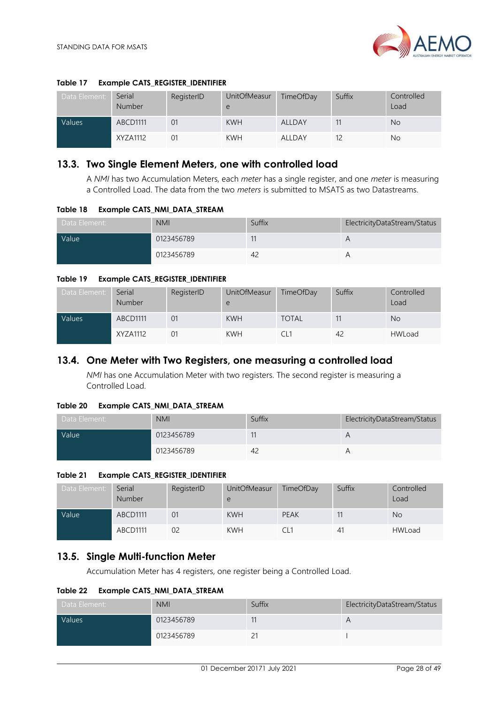

## <span id="page-27-3"></span>**Table 17 Example CATS\_REGISTER\_IDENTIFIER**

| Data Element: | Serial<br>Number | RegisterID | <b>UnitOfMeasur</b><br>e | TimeOfDay | Suffix | Controlled<br>Load |
|---------------|------------------|------------|--------------------------|-----------|--------|--------------------|
| Values        | <b>ABCD1111</b>  | 01         | <b>KWH</b>               | ALLDAY    |        | <b>No</b>          |
|               | XYZA1112         | 01         | <b>KWH</b>               | ALLDAY    |        | No                 |

## <span id="page-27-0"></span>**13.3. Two Single Element Meters, one with controlled load**

A *NMI* has two Accumulation Meters, each *meter* has a single register, and one *meter* is measuring a Controlled Load. The data from the two *meters* is submitted to MSATS as two Datastreams.

<span id="page-27-4"></span>**Table 18 Example CATS\_NMI\_DATA\_STREAM**

| Data Element: | <b>NMI</b> | Suffix | ElectricityDataStream/Status |
|---------------|------------|--------|------------------------------|
| Value         | 0123456789 |        |                              |
|               | 0123456789 | 4.     |                              |

#### <span id="page-27-5"></span>**Table 19 Example CATS\_REGISTER\_IDENTIFIER**

| Data Element: | Serial<br><b>Number</b> | RegisterID     | UnitOfMeasur<br>e | TimeOfDay    | Suffix | Controlled<br>Load |
|---------------|-------------------------|----------------|-------------------|--------------|--------|--------------------|
| Values        | ABCD1111                | 0 <sup>1</sup> | <b>KWH</b>        | <b>TOTAL</b> |        | <b>No</b>          |
|               | XYZA1112                | 01             | <b>KWH</b>        | CI 1         | 42     | <b>HWLoad</b>      |

## <span id="page-27-1"></span>**13.4. One Meter with Two Registers, one measuring a controlled load**

*NMI* has one Accumulation Meter with two registers. The second register is measuring a Controlled Load.

#### <span id="page-27-6"></span>**Table 20 Example CATS\_NMI\_DATA\_STREAM**

| Data Element: | <b>NMI</b> | Suffix         | ElectricityDataStream/Status |
|---------------|------------|----------------|------------------------------|
| Value         | 0123456789 |                | $\overline{A}$               |
|               | 0123456789 | 4 <sub>6</sub> |                              |

#### <span id="page-27-7"></span>**Table 21 Example CATS\_REGISTER\_IDENTIFIER**

| Data Element: | Serial<br><b>Number</b> | RegisterID     | <b>UnitOfMeasur</b><br>e | TimeOfDay   | Suffix | Controlled<br>Load |
|---------------|-------------------------|----------------|--------------------------|-------------|--------|--------------------|
| <b>Value</b>  | ABCD1111                | 0 <sup>1</sup> | <b>KWH</b>               | <b>PEAK</b> |        | N <sub>o</sub>     |
|               | ABCD1111                | 02             | <b>KWH</b>               |             | 41     | <b>HWLoad</b>      |

## <span id="page-27-2"></span>**13.5. Single Multi-function Meter**

Accumulation Meter has 4 registers, one register being a Controlled Load.

<span id="page-27-8"></span>**Table 22 Example CATS\_NMI\_DATA\_STREAM**

| Data Element: | <b>NMI</b> | Suffix | ElectricityDataStream/Status |
|---------------|------------|--------|------------------------------|
| Values        | 0123456789 |        | A                            |
|               | 0123456789 | └      |                              |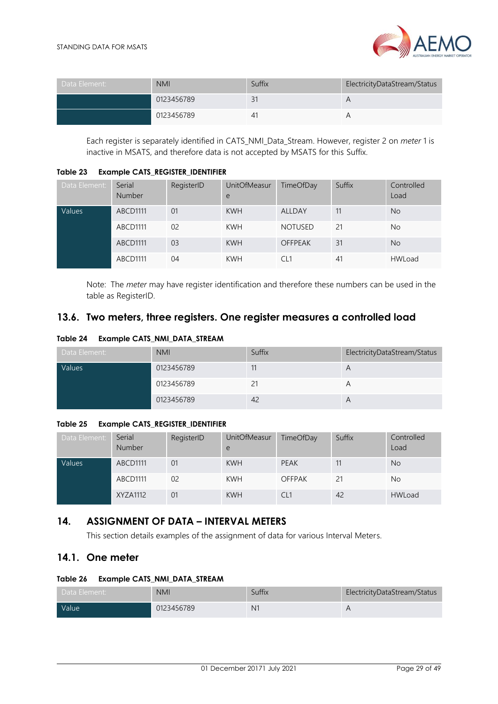

| Data Element: | <b>NMI</b> | Suffix | ElectricityDataStream/Status |
|---------------|------------|--------|------------------------------|
|               | 0123456789 | 31     | А                            |
|               | 0123456789 | 4      |                              |

Each register is separately identified in CATS\_NMI\_Data\_Stream. However, register 2 on *meter* 1 is inactive in MSATS, and therefore data is not accepted by MSATS for this Suffix.

<span id="page-28-3"></span>**Table 23 Example CATS\_REGISTER\_IDENTIFIER**

| Data Element: | Serial<br>Number | RegisterID     | <b>UnitOfMeasur</b><br>e | TimeOfDay      | Suffix | Controlled<br>Load |
|---------------|------------------|----------------|--------------------------|----------------|--------|--------------------|
| Values        | ABCD1111         | 01             | <b>KWH</b>               | <b>ALLDAY</b>  | 11     | <b>No</b>          |
|               | ABCD1111         | 0 <sup>2</sup> | <b>KWH</b>               | <b>NOTUSED</b> | 21     | No                 |
|               | ABCD1111         | 03             | <b>KWH</b>               | <b>OFFPEAK</b> | 31     | <b>No</b>          |
|               | ABCD1111         | 04             | <b>KWH</b>               | CL1            | 41     | <b>HWLoad</b>      |

Note: The *meter* may have register identification and therefore these numbers can be used in the table as RegisterID.

# <span id="page-28-0"></span>**13.6. Two meters, three registers. One register measures a controlled load**

<span id="page-28-4"></span>**Table 24 Example CATS\_NMI\_DATA\_STREAM**

| Data Element: | <b>NMI</b> | Suffix | ElectricityDataStream/Status |
|---------------|------------|--------|------------------------------|
| Values        | 0123456789 | 11     | А                            |
|               | 0123456789 | 21     | $\forall$                    |
|               | 0123456789 | 42     | А                            |

## <span id="page-28-5"></span>**Table 25 Example CATS\_REGISTER\_IDENTIFIER**

| Data Element: | Serial<br><b>Number</b> | RegisterID     | UnitOfMeasur<br>e | TimeOfDay       | Suffix | Controlled<br>Load |
|---------------|-------------------------|----------------|-------------------|-----------------|--------|--------------------|
| Values        | ABCD1111                | 01             | <b>KWH</b>        | <b>PEAK</b>     |        | <b>No</b>          |
|               | ABCD1111                | 0 <sub>2</sub> | <b>KWH</b>        | <b>OFFPAK</b>   |        | No.                |
|               | XYZA1112                | 01             | <b>KWH</b>        | CL <sub>1</sub> | 42     | <b>HWLoad</b>      |

# <span id="page-28-1"></span>**14. ASSIGNMENT OF DATA – INTERVAL METERS**

This section details examples of the assignment of data for various Interval Meters.

# <span id="page-28-2"></span>**14.1. One meter**

# <span id="page-28-6"></span>**Table 26 Example CATS\_NMI\_DATA\_STREAM**

| Data Element: | <b>NMI</b> | Suffix | ElectricityDataStream/Status |
|---------------|------------|--------|------------------------------|
| <b>Value</b>  | 0123456789 | $N^2$  |                              |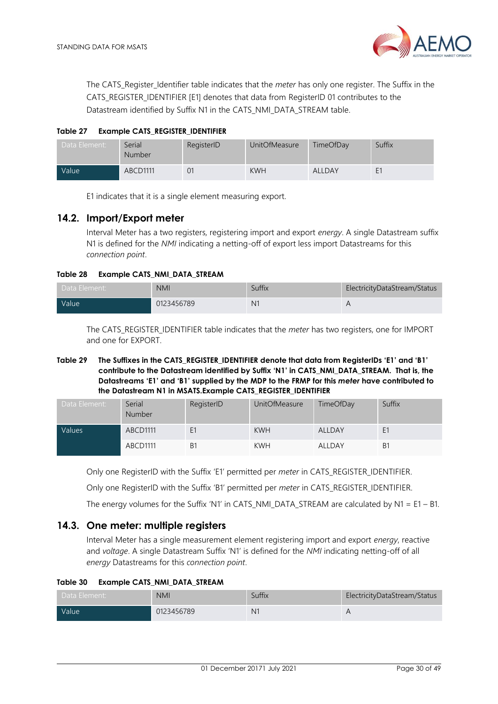The CATS Register Identifier table indicates that the *meter* has only one register. The Suffix in the CATS\_REGISTER\_IDENTIFIER [E1] denotes that data from RegisterID 01 contributes to the Datastream identified by Suffix N1 in the CATS\_NMI\_DATA\_STREAM table.

<span id="page-29-2"></span>**Table 27 Example CATS\_REGISTER\_IDENTIFIER**

| Data Element:      | Serial<br><b>Number</b> | RegisterID | <b>UnitOfMeasure</b> | TimeOfDay | Suffix         |
|--------------------|-------------------------|------------|----------------------|-----------|----------------|
| Value <sup>1</sup> | <b>ABCD1111</b>         | 01         | <b>KWH</b>           | ALLDAY    | E <sub>1</sub> |

E1 indicates that it is a single element measuring export.

## <span id="page-29-0"></span>**14.2. Import/Export meter**

Interval Meter has a two registers, registering import and export *energy*. A single Datastream suffix N1 is defined for the *NMI* indicating a netting-off of export less import Datastreams for this *connection point*.

#### <span id="page-29-3"></span>**Table 28 Example CATS\_NMI\_DATA\_STREAM**

| Data Element: | <b>NMI</b> | Suffix         | ElectricityDataStream/Status |
|---------------|------------|----------------|------------------------------|
| <b>Value</b>  | 0123456789 | N <sub>1</sub> |                              |

<span id="page-29-4"></span>The CATS\_REGISTER\_IDENTIFIER table indicates that the *meter* has two registers, one for IMPORT and one for EXPORT.

#### **Table 29 The Suffixes in the CATS\_REGISTER\_IDENTIFIER denote that data from RegisterIDs 'E1' and 'B1' contribute to the Datastream identified by Suffix 'N1' in CATS\_NMI\_DATA\_STREAM. That is, the Datastreams 'E1' and 'B1' supplied by the MDP to the FRMP for this** *meter* **have contributed to the Datastream N1 in MSATS.Example CATS\_REGISTER\_IDENTIFIER**

| Data Element: | Serial<br><b>Number</b> | RegisterID     | <b>UnitOfMeasure</b> | TimeOfDay | Suffix |
|---------------|-------------------------|----------------|----------------------|-----------|--------|
| Values        | ABCD1111                | E1             | <b>KWH</b>           | ALLDAY    | E1     |
|               | ABCD1111                | B <sub>1</sub> | <b>KWH</b>           | ALLDAY    | B1     |

Only one RegisterID with the Suffix 'E1' permitted per *meter* in CATS\_REGISTER\_IDENTIFIER.

Only one RegisterID with the Suffix 'B1' permitted per *meter* in CATS\_REGISTER\_IDENTIFIER.

The energy volumes for the Suffix 'N1' in CATS\_NMI\_DATA\_STREAM are calculated by N1 = E1 – B1.

## <span id="page-29-1"></span>**14.3. One meter: multiple registers**

Interval Meter has a single measurement element registering import and export *energy*, reactive and *voltage*. A single Datastream Suffix 'N1' is defined for the *NMI* indicating netting-off of all *energy* Datastreams for this *connection point*.

<span id="page-29-5"></span>

| Table 30 l | Example CATS_NMI_DATA_STREAM |  |  |
|------------|------------------------------|--|--|
|------------|------------------------------|--|--|

| Data Element: | <b>NMI</b> | Suffix         | ElectricityDataStream/Status |
|---------------|------------|----------------|------------------------------|
| Value         | 0123456789 | N <sub>1</sub> |                              |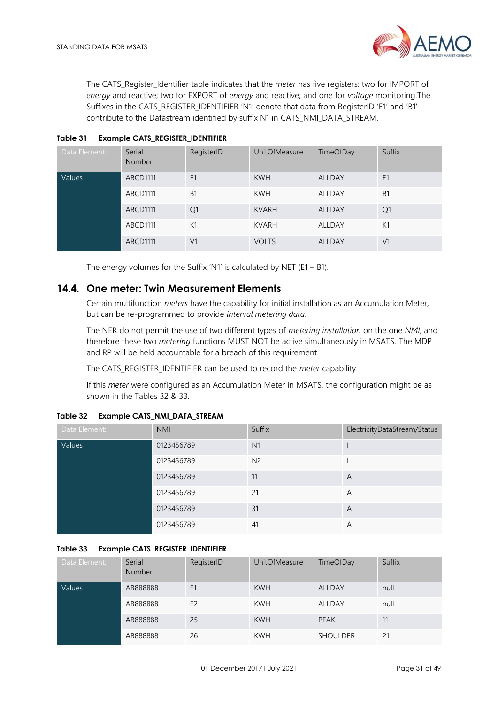

The CATS\_Register\_Identifier table indicates that the *meter* has five registers: two for IMPORT of *energy* and reactive; two for EXPORT of *energy* and reactive; and one for *voltage* monitoring.The Suffixes in the CATS\_REGISTER\_IDENTIFIER 'N1' denote that data from RegisterID 'E1' and 'B1' contribute to the Datastream identified by suffix N1 in CATS\_NMI\_DATA\_STREAM.

| Data Element: | Serial<br><b>Number</b> | RegisterID     | <b>UnitOfMeasure</b> | TimeOfDay     | Suffix         |
|---------------|-------------------------|----------------|----------------------|---------------|----------------|
| Values        | ABCD1111                | E <sub>1</sub> | <b>KWH</b>           | <b>ALLDAY</b> | E <sub>1</sub> |
|               | ABCD1111                | <b>B1</b>      | <b>KWH</b>           | ALLDAY        | <b>B1</b>      |
|               | ABCD1111                | Q <sub>1</sub> | <b>KVARH</b>         | <b>ALLDAY</b> | Q1             |
|               | ABCD1111                | K1             | <b>KVARH</b>         | ALLDAY        | K1             |
|               | ABCD1111                | V <sub>1</sub> | <b>VOLTS</b>         | <b>ALLDAY</b> | V <sub>1</sub> |

#### <span id="page-30-1"></span>**Table 31 Example CATS\_REGISTER\_IDENTIFIER**

The energy volumes for the Suffix 'N1' is calculated by NET ( $E1 - B1$ ).

## <span id="page-30-0"></span>**14.4. One meter: Twin Measurement Elements**

Certain multifunction *meters* have the capability for initial installation as an Accumulation Meter, but can be re-programmed to provide *interval metering data*.

The NER do not permit the use of two different types of *metering installation* on the one *NMI*, and therefore these two *metering* functions MUST NOT be active simultaneously in MSATS. The MDP and RP will be held accountable for a breach of this requirement.

The CATS\_REGISTER\_IDENTIFIER can be used to record the *meter* capability.

If this *meter* were configured as an Accumulation Meter in MSATS, the configuration might be as shown in the Tables 32 & 33.

| Data Element: | <b>NMI</b> | Suffix         | ElectricityDataStream/Status |
|---------------|------------|----------------|------------------------------|
| Values        | 0123456789 | N1             |                              |
|               | 0123456789 | N <sub>2</sub> |                              |
|               | 0123456789 | 11             | A                            |
|               | 0123456789 | 21             | A                            |
|               | 0123456789 | 31             | A                            |
|               | 0123456789 | 41             | Α                            |

#### <span id="page-30-2"></span>**Table 32 Example CATS\_NMI\_DATA\_STREAM**

#### <span id="page-30-3"></span>**Table 33 Example CATS\_REGISTER\_IDENTIFIER**

| Data Element: | Serial<br>Number | RegisterID     | <b>UnitOfMeasure</b> | TimeOfDay       | Suffix |
|---------------|------------------|----------------|----------------------|-----------------|--------|
| Values        | AB888888         | E <sub>1</sub> | <b>KWH</b>           | <b>ALLDAY</b>   | null   |
|               | AB888888         | E <sub>2</sub> | <b>KWH</b>           | ALLDAY          | null   |
|               | AB888888         | 25             | <b>KWH</b>           | <b>PEAK</b>     | 11     |
|               | AB888888         | 26             | <b>KWH</b>           | <b>SHOULDER</b> | 21     |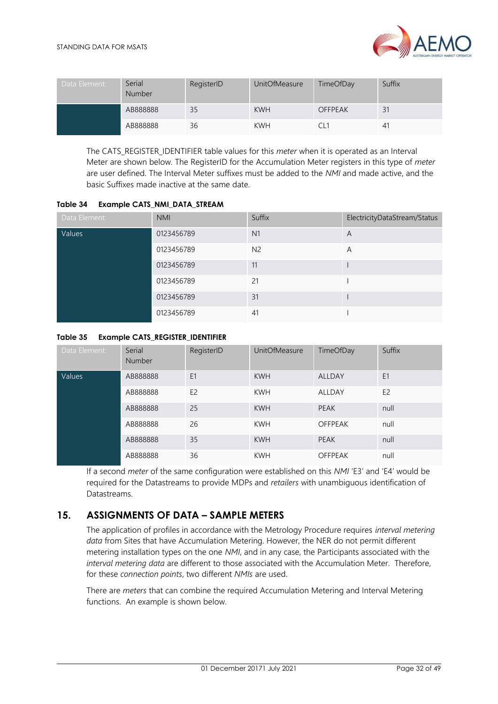

| Data Element: | Serial<br>Number | RegisterID | <b>UnitOfMeasure</b> | TimeOfDay      | Suffix |
|---------------|------------------|------------|----------------------|----------------|--------|
|               | AB888888         | 35         | <b>KWH</b>           | <b>OFFPEAK</b> | 31     |
|               | AB888888         | 36         | <b>KWH</b>           |                | 41     |

The CATS\_REGISTER\_IDENTIFIER table values for this *meter* when it is operated as an Interval Meter are shown below. The RegisterID for the Accumulation Meter registers in this type of *meter* are user defined. The Interval Meter suffixes must be added to the *NMI* and made active, and the basic Suffixes made inactive at the same date.

<span id="page-31-1"></span>

| Table 34 | Example CATS_NMI_DATA_STREAM |  |  |
|----------|------------------------------|--|--|
|          |                              |  |  |

| Data Element: | <b>NMI</b> | Suffix         | ElectricityDataStream/Status |
|---------------|------------|----------------|------------------------------|
| Values        | 0123456789 | N <sub>1</sub> | A                            |
|               | 0123456789 | N <sub>2</sub> | A                            |
|               | 0123456789 | 11             |                              |
|               | 0123456789 | 21             |                              |
|               | 0123456789 | 31             |                              |
|               | 0123456789 | 41             |                              |

## <span id="page-31-2"></span>**Table 35 Example CATS\_REGISTER\_IDENTIFIER**

| Data Element: | Serial<br><b>Number</b> | RegisterID     | <b>UnitOfMeasure</b> | TimeOfDay      | Suffix         |
|---------------|-------------------------|----------------|----------------------|----------------|----------------|
| Values        | AB888888                | E <sub>1</sub> | <b>KWH</b>           | <b>ALLDAY</b>  | E <sub>1</sub> |
|               | AB888888                | E <sub>2</sub> | <b>KWH</b>           | <b>ALLDAY</b>  | E <sub>2</sub> |
|               | AB888888                | 25             | <b>KWH</b>           | <b>PEAK</b>    | null           |
|               | AB888888                | 26             | <b>KWH</b>           | <b>OFFPEAK</b> | null           |
|               | AB888888                | 35             | <b>KWH</b>           | <b>PEAK</b>    | null           |
|               | AB888888                | 36             | <b>KWH</b>           | <b>OFFPEAK</b> | null           |

If a second *meter* of the same configuration were established on this *NMI* 'E3' and 'E4' would be required for the Datastreams to provide MDPs and *retailers* with unambiguous identification of Datastreams.

# <span id="page-31-0"></span>**15. ASSIGNMENTS OF DATA – SAMPLE METERS**

The application of profiles in accordance with the Metrology Procedure requires *interval metering data* from Sites that have Accumulation Metering. However, the NER do not permit different metering installation types on the one *NMI*, and in any case, the Participants associated with the *interval metering data* are different to those associated with the Accumulation Meter. Therefore, for these *connection points*, two different *NMIs* are used.

There are *meters* that can combine the required Accumulation Metering and Interval Metering functions. An example is shown below.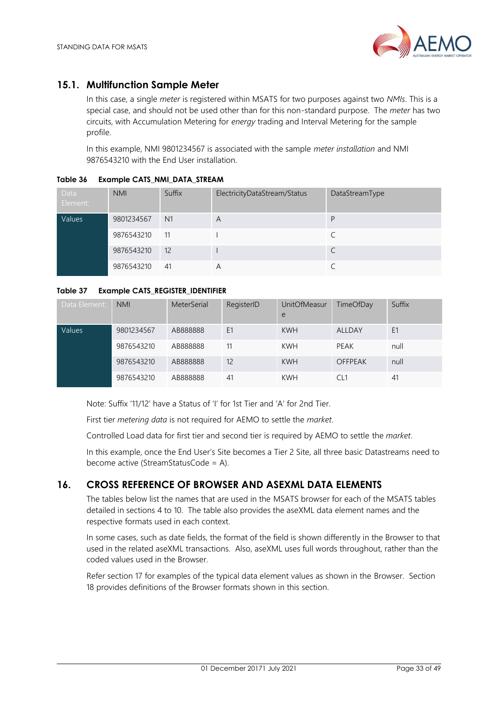

# <span id="page-32-0"></span>**15.1. Multifunction Sample Meter**

In this case, a single *meter* is registered within MSATS for two purposes against two *NMIs*. This is a special case, and should not be used other than for this non-standard purpose. The *meter* has two circuits, with Accumulation Metering for *energy* trading and Interval Metering for the sample profile.

In this example, NMI 9801234567 is associated with the sample *meter installation* and NMI 9876543210 with the End User installation.

| Data<br>Element: | <b>NMI</b> | Suffix         | ElectricityDataStream/Status | DataStreamType |
|------------------|------------|----------------|------------------------------|----------------|
| Values           | 9801234567 | N <sub>1</sub> | A                            | D              |
|                  | 9876543210 | 11             |                              |                |
|                  | 9876543210 | 12             |                              |                |
|                  | 9876543210 | 41             | A                            |                |

## <span id="page-32-2"></span>**Table 36 Example CATS\_NMI\_DATA\_STREAM**

## <span id="page-32-3"></span>**Table 37 Example CATS\_REGISTER\_IDENTIFIER**

| Data Element: | <b>NMI</b> | MeterSerial | RegisterID | <b>UnitOfMeasur</b><br>e | TimeOfDay      | Suffix |
|---------------|------------|-------------|------------|--------------------------|----------------|--------|
| Values        | 9801234567 | AB888888    | E1         | <b>KWH</b>               | ALLDAY         | E1     |
|               | 9876543210 | AB888888    | 11         | <b>KWH</b>               | PEAK           | null   |
|               | 9876543210 | AB888888    | 12         | <b>KWH</b>               | <b>OFFPEAK</b> | null   |
|               | 9876543210 | AB888888    | 41         | <b>KWH</b>               |                | 41     |

Note: Suffix '11/12' have a Status of 'I' for 1st Tier and 'A' for 2nd Tier.

First tier *metering data* is not required for AEMO to settle the *market*.

Controlled Load data for first tier and second tier is required by AEMO to settle the *market*.

In this example, once the End User's Site becomes a Tier 2 Site, all three basic Datastreams need to become active (StreamStatusCode = A).

# <span id="page-32-1"></span>**16. CROSS REFERENCE OF BROWSER AND ASEXML DATA ELEMENTS**

The tables below list the names that are used in the MSATS browser for each of the MSATS tables detailed in sections 4 to 10. The table also provides the aseXML data element names and the respective formats used in each context.

In some cases, such as date fields, the format of the field is shown differently in the Browser to that used in the related aseXML transactions. Also, aseXML uses full words throughout, rather than the coded values used in the Browser.

Refer section 17 for examples of the typical data element values as shown in the Browser. Section 18 provides definitions of the Browser formats shown in this section.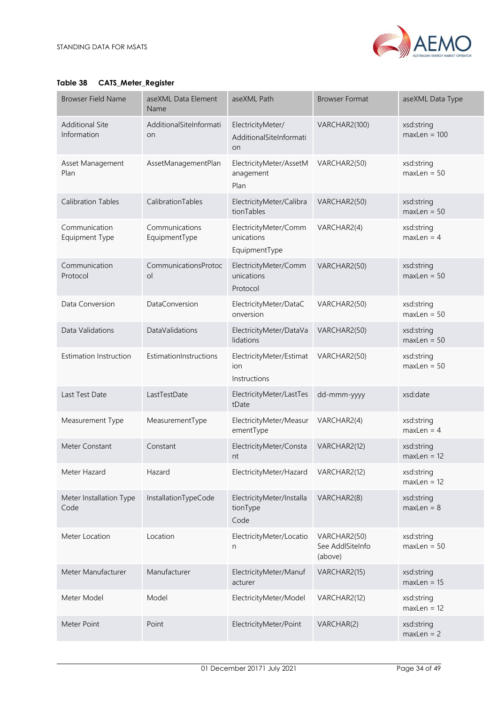

## <span id="page-33-0"></span>**Table 38 CATS\_Meter\_Register**

| <b>Browser Field Name</b>             | aseXML Data Element<br>Name     | aseXML Path                                          | <b>Browser Format</b>                       | aseXML Data Type             |
|---------------------------------------|---------------------------------|------------------------------------------------------|---------------------------------------------|------------------------------|
| <b>Additional Site</b><br>Information | AdditionalSiteInformati<br>on   | ElectricityMeter/<br>AdditionalSiteInformati<br>on   | VARCHAR2(100)                               | xsd:string<br>$maxLen = 100$ |
| Asset Management<br>Plan              | AssetManagementPlan             | ElectricityMeter/AssetM<br>anagement<br>Plan         | VARCHAR2(50)                                | xsd:string<br>$maxLen = 50$  |
| <b>Calibration Tables</b>             | CalibrationTables               | ElectricityMeter/Calibra<br>tionTables               | VARCHAR2(50)                                | xsd:string<br>$maxLen = 50$  |
| Communication<br>Equipment Type       | Communications<br>EquipmentType | ElectricityMeter/Comm<br>unications<br>EquipmentType | VARCHAR2(4)                                 | xsd:string<br>$maxLen = 4$   |
| Communication<br>Protocol             | CommunicationsProtoc<br>$\circ$ | ElectricityMeter/Comm<br>unications<br>Protocol      | VARCHAR2(50)                                | xsd:string<br>$maxLen = 50$  |
| Data Conversion                       | DataConversion                  | ElectricityMeter/DataC<br>onversion                  | VARCHAR2(50)                                | xsd:string<br>$maxLen = 50$  |
| Data Validations                      | DataValidations                 | ElectricityMeter/DataVa<br>lidations                 | VARCHAR2(50)                                | xsd:string<br>$maxLen = 50$  |
| <b>Estimation Instruction</b>         | EstimationInstructions          | ElectricityMeter/Estimat<br>ion<br>Instructions      | VARCHAR2(50)                                | xsd:string<br>$maxLen = 50$  |
| Last Test Date                        | LastTestDate                    | ElectricityMeter/LastTes<br>tDate                    | dd-mmm-yyyy                                 | xsd:date                     |
| Measurement Type                      | MeasurementType                 | ElectricityMeter/Measur<br>ementType                 | VARCHAR2(4)                                 | xsd:string<br>$maxLen = 4$   |
| Meter Constant                        | Constant                        | ElectricityMeter/Consta<br>nt                        | VARCHAR2(12)                                | xsd:string<br>$maxLen = 12$  |
| Meter Hazard                          | Hazard                          | ElectricityMeter/Hazard                              | VARCHAR2(12)                                | xsd:string<br>$maxLen = 12$  |
| Meter Installation Type<br>Code       | InstallationTypeCode            | ElectricityMeter/Installa<br>tionType<br>Code        | VARCHAR2(8)                                 | xsd:string<br>$maxLen = 8$   |
| Meter Location                        | Location                        | ElectricityMeter/Locatio<br>n                        | VARCHAR2(50)<br>See AddlSiteInfo<br>(above) | xsd:string<br>$maxLen = 50$  |
| Meter Manufacturer                    | Manufacturer                    | ElectricityMeter/Manuf<br>acturer                    | VARCHAR2(15)                                | xsd:string<br>$maxLen = 15$  |
| Meter Model                           | Model                           | ElectricityMeter/Model                               | VARCHAR2(12)                                | xsd:string<br>$maxLen = 12$  |
| Meter Point                           | Point                           | ElectricityMeter/Point                               | VARCHAR(2)                                  | xsd:string<br>$maxLen = 2$   |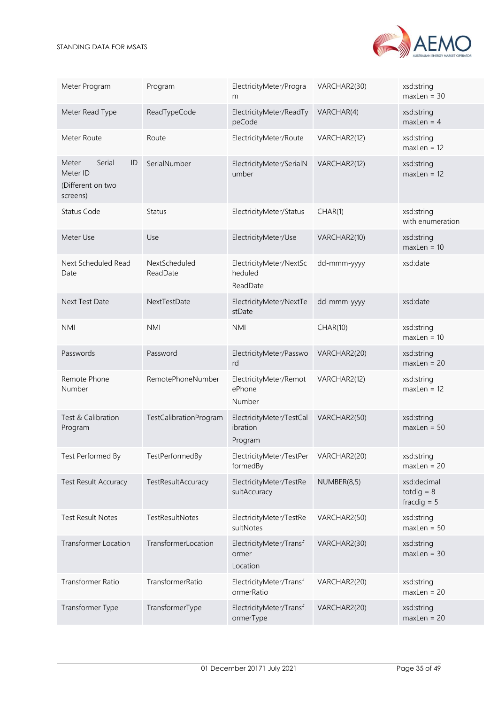

| Meter Program                                                      | Program                   | ElectricityMeter/Progra<br>m                    | VARCHAR2(30) | xsd:string<br>$maxLen = 30$                  |
|--------------------------------------------------------------------|---------------------------|-------------------------------------------------|--------------|----------------------------------------------|
| Meter Read Type                                                    | ReadTypeCode              | ElectricityMeter/ReadTy<br>peCode               | VARCHAR(4)   | xsd:string<br>$maxLen = 4$                   |
| Meter Route                                                        | Route                     | ElectricityMeter/Route                          | VARCHAR2(12) | xsd:string<br>$maxLen = 12$                  |
| Serial<br>Meter<br>ID<br>Meter ID<br>(Different on two<br>screens) | SerialNumber              | ElectricityMeter/SerialN<br>umber               | VARCHAR2(12) | xsd:string<br>$maxLen = 12$                  |
| Status Code                                                        | Status                    | ElectricityMeter/Status                         | CHAR(1)      | xsd:string<br>with enumeration               |
| Meter Use                                                          | Use                       | ElectricityMeter/Use                            | VARCHAR2(10) | xsd:string<br>$maxLen = 10$                  |
| Next Scheduled Read<br>Date                                        | NextScheduled<br>ReadDate | ElectricityMeter/NextSc<br>heduled<br>ReadDate  | dd-mmm-yyyy  | xsd:date                                     |
| Next Test Date                                                     | NextTestDate              | ElectricityMeter/NextTe<br>stDate               | dd-mmm-yyyy  | xsd:date                                     |
| <b>NMI</b>                                                         | <b>NMI</b>                | <b>NMI</b>                                      | CHAR(10)     | xsd:string<br>$maxLen = 10$                  |
| Passwords                                                          | Password                  | ElectricityMeter/Passwo<br>rd                   | VARCHAR2(20) | xsd:string<br>$maxLen = 20$                  |
| Remote Phone<br>Number                                             | RemotePhoneNumber         | ElectricityMeter/Remot<br>ePhone<br>Number      | VARCHAR2(12) | xsd:string<br>$maxLen = 12$                  |
| Test & Calibration<br>Program                                      | TestCalibrationProgram    | ElectricityMeter/TestCal<br>ibration<br>Program | VARCHAR2(50) | xsd:string<br>$maxLen = 50$                  |
| Test Performed By                                                  | TestPerformedBy           | ElectricityMeter/TestPer<br>formedBy            | VARCHAR2(20) | xsd:string<br>$maxLen = 20$                  |
| <b>Test Result Accuracy</b>                                        | TestResultAccuracy        | ElectricityMeter/TestRe<br>sultAccuracy         | NUMBER(8,5)  | xsd:decimal<br>totdig $= 8$<br>fracdig $= 5$ |
| <b>Test Result Notes</b>                                           | TestResultNotes           | ElectricityMeter/TestRe<br>sultNotes            | VARCHAR2(50) | xsd:string<br>$maxLen = 50$                  |
| <b>Transformer Location</b>                                        | TransformerLocation       | ElectricityMeter/Transf<br>ormer<br>Location    | VARCHAR2(30) | xsd:string<br>$maxLen = 30$                  |
| Transformer Ratio                                                  | TransformerRatio          | ElectricityMeter/Transf<br>ormerRatio           | VARCHAR2(20) | xsd:string<br>$maxLen = 20$                  |
| Transformer Type                                                   | TransformerType           | ElectricityMeter/Transf<br>ormerType            | VARCHAR2(20) | xsd:string<br>$maxLen = 20$                  |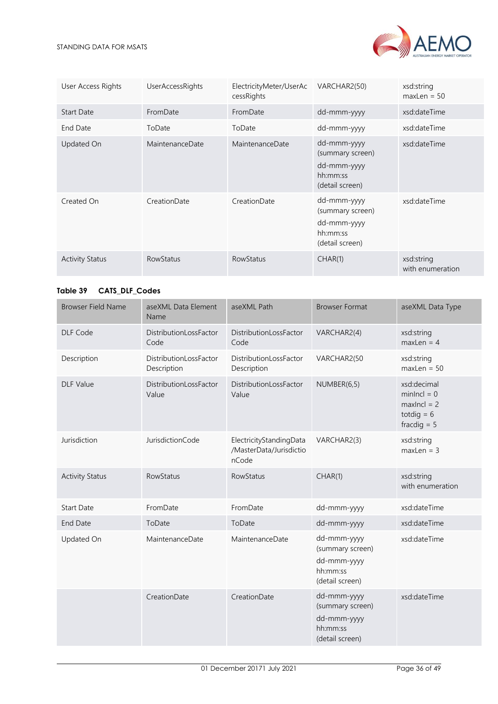

| User Access Rights     | <b>UserAccessRights</b> | ElectricityMeter/UserAc<br>cessRights | VARCHAR2(50)                                                                  | xsd:string<br>$maxLen = 50$    |
|------------------------|-------------------------|---------------------------------------|-------------------------------------------------------------------------------|--------------------------------|
| <b>Start Date</b>      | FromDate                | FromDate                              | dd-mmm-yyyy                                                                   | xsd:dateTime                   |
| End Date               | ToDate                  | ToDate                                | dd-mmm-yyyy                                                                   | xsd:dateTime                   |
| Updated On             | MaintenanceDate         | MaintenanceDate                       | dd-mmm-yyyy<br>(summary screen)<br>dd-mmm-yyyy<br>hh:mm:ss<br>(detail screen) | xsd:dateTime                   |
| Created On             | CreationDate            | CreationDate                          | dd-mmm-yyyy<br>(summary screen)<br>dd-mmm-yyyy<br>hh:mm:ss<br>(detail screen) | xsd:dateTime                   |
| <b>Activity Status</b> | <b>RowStatus</b>        | <b>RowStatus</b>                      | CHAR(1)                                                                       | xsd:string<br>with enumeration |

## <span id="page-35-0"></span>**Table 39 CATS\_DLF\_Codes**

| <b>Browser Field Name</b> | aseXML Data Element<br>Name           | aseXML Path                                                 | <b>Browser Format</b>                                                         | aseXML Data Type                                                               |
|---------------------------|---------------------------------------|-------------------------------------------------------------|-------------------------------------------------------------------------------|--------------------------------------------------------------------------------|
| DLF Code                  | DistributionLossFactor<br>Code        | DistributionLossFactor<br>Code                              | VARCHAR2(4)                                                                   | xsd:string<br>$maxLen = 4$                                                     |
| Description               | DistributionLossFactor<br>Description | DistributionLossFactor<br>Description                       | VARCHAR2(50                                                                   | xsd:string<br>$maxLen = 50$                                                    |
| <b>DLF Value</b>          | DistributionLossFactor<br>Value       | DistributionLossFactor<br>Value                             | NUMBER(6,5)                                                                   | xsd:decimal<br>$minIncl = 0$<br>$maxIncl = 2$<br>totdig $= 6$<br>fracdig $= 5$ |
| Jurisdiction              | JurisdictionCode                      | ElectricityStandingData<br>/MasterData/Jurisdictio<br>nCode | VARCHAR2(3)                                                                   | xsd:string<br>$maxLen = 3$                                                     |
| <b>Activity Status</b>    | RowStatus                             | RowStatus                                                   | CHAR(1)                                                                       | xsd:string<br>with enumeration                                                 |
| <b>Start Date</b>         | FromDate                              | FromDate                                                    | dd-mmm-yyyy                                                                   | xsd:dateTime                                                                   |
| <b>End Date</b>           | ToDate                                | ToDate                                                      | dd-mmm-yyyy                                                                   | xsd:dateTime                                                                   |
| Updated On                | MaintenanceDate                       | MaintenanceDate                                             | dd-mmm-yyyy<br>(summary screen)<br>dd-mmm-yyyy<br>hh:mm:ss<br>(detail screen) | xsd:dateTime                                                                   |
|                           | CreationDate                          | CreationDate                                                | dd-mmm-yyyy<br>(summary screen)<br>dd-mmm-yyyy<br>hh:mm:ss<br>(detail screen) | xsd:dateTime                                                                   |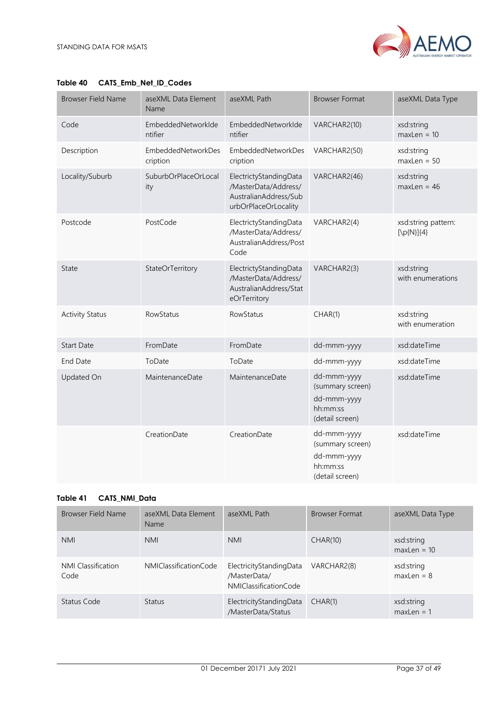

| <b>Browser Field Name</b> | aseXML Data Element<br>Name    | aseXML Path                                                                                     | <b>Browser Format</b>                                                         | aseXML Data Type                       |
|---------------------------|--------------------------------|-------------------------------------------------------------------------------------------------|-------------------------------------------------------------------------------|----------------------------------------|
| Code                      | EmbeddedNetworkIde<br>ntifier  | EmbeddedNetworkIde<br>ntifier                                                                   | VARCHAR2(10)                                                                  | xsd:string<br>$maxLen = 10$            |
| Description               | EmbeddedNetworkDes<br>cription | EmbeddedNetworkDes<br>cription                                                                  | VARCHAR2(50)                                                                  | xsd:string<br>$maxLen = 50$            |
| Locality/Suburb           | SuburbOrPlaceOrLocal<br>ity    | ElectrictyStandingData<br>/MasterData/Address/<br>AustralianAddress/Sub<br>urbOrPlaceOrLocality | VARCHAR2(46)                                                                  | xsd:string<br>$maxLen = 46$            |
| Postcode                  | PostCode                       | ElectrictyStandingData<br>/MasterData/Address/<br>AustralianAddress/Post<br>Code                | VARCHAR2(4)                                                                   | xsd:string pattern:<br>$[\np{N}]\{4\}$ |
| State                     | StateOrTerritory               | ElectrictyStandingData<br>/MasterData/Address/<br>AustralianAddress/Stat<br>eOrTerritory        | VARCHAR2(3)                                                                   | xsd:string<br>with enumerations        |
| <b>Activity Status</b>    | RowStatus                      | RowStatus                                                                                       | CHAR(1)                                                                       | xsd:string<br>with enumeration         |
| <b>Start Date</b>         | FromDate                       | FromDate                                                                                        | dd-mmm-yyyy                                                                   | xsd:dateTime                           |
| End Date                  | ToDate                         | ToDate                                                                                          | dd-mmm-yyyy                                                                   | xsd:dateTime                           |
| Updated On                | MaintenanceDate                | MaintenanceDate                                                                                 | dd-mmm-yyyy<br>(summary screen)<br>dd-mmm-yyyy<br>hh:mm:ss<br>(detail screen) | xsd:dateTime                           |
|                           | CreationDate                   | CreationDate                                                                                    | dd-mmm-yyyy<br>(summary screen)<br>dd-mmm-yyyy<br>hh:mm:ss<br>(detail screen) | xsd:dateTime                           |

## <span id="page-36-0"></span>**Table 40 CATS\_Emb\_Net\_ID\_Codes**

#### <span id="page-36-1"></span>**Table 41 CATS\_NMI\_Data**

| Browser Field Name         | aseXML Data Element<br><b>Name</b> | aseXML Path                                                      | <b>Browser Format</b> | aseXML Data Type            |
|----------------------------|------------------------------------|------------------------------------------------------------------|-----------------------|-----------------------------|
| <b>NMI</b>                 | <b>NMI</b>                         | <b>NMI</b>                                                       | CHAR(10)              | xsd:string<br>$maxLen = 10$ |
| NMI Classification<br>Code | <b>NMIClassificationCode</b>       | ElectricityStandingData<br>/MasterData/<br>NMIClassificationCode | VARCHAR2(8)           | xsd:string<br>$maxLen = 8$  |
| Status Code                | <b>Status</b>                      | ElectricityStandingData<br>/MasterData/Status                    | CHAR(1)               | xsd:string<br>$maxLen = 1$  |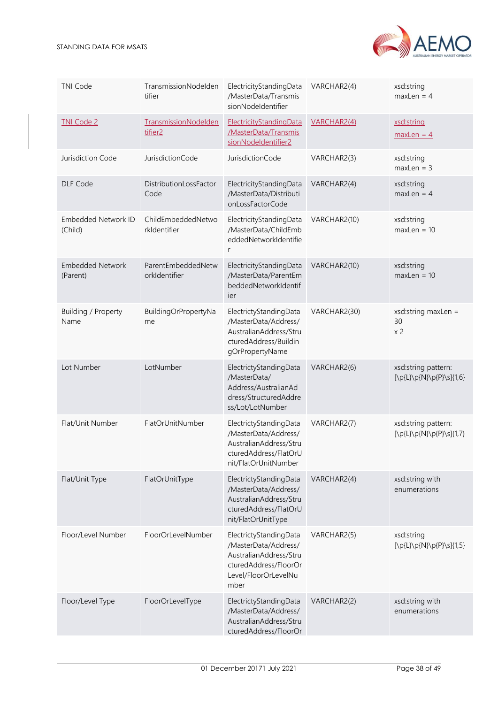| <b>TNI Code</b>                       | TransmissionNodelden<br>tifier      | ElectricityStandingData<br>/MasterData/Transmis<br>sionNodeldentifier                                                             | VARCHAR2(4)  | xsd:string<br>$maxLen = 4$                      |
|---------------------------------------|-------------------------------------|-----------------------------------------------------------------------------------------------------------------------------------|--------------|-------------------------------------------------|
| <b>TNI Code 2</b>                     | TransmissionNodelden<br>tifier2     | ElectricityStandingData<br>/MasterData/Transmis<br>sionNodeldentifier2                                                            | VARCHAR2(4)  | xsd:string<br>$maxLen = 4$                      |
| Jurisdiction Code                     | JurisdictionCode                    | JurisdictionCode                                                                                                                  | VARCHAR2(3)  | xsd:string<br>$maxLen = 3$                      |
| <b>DLF Code</b>                       | DistributionLossFactor<br>Code      | ElectricityStandingData<br>/MasterData/Distributi<br>onLossFactorCode                                                             | VARCHAR2(4)  | xsd:string<br>$maxLen = 4$                      |
| <b>Embedded Network ID</b><br>(Child) | ChildEmbeddedNetwo<br>rkldentifier  | ElectricityStandingData<br>/MasterData/ChildEmb<br>eddedNetworkIdentifie<br>r                                                     | VARCHAR2(10) | xsd:string<br>$maxLen = 10$                     |
| <b>Embedded Network</b><br>(Parent)   | ParentEmbeddedNetw<br>orkIdentifier | ElectricityStandingData<br>/MasterData/ParentEm<br>beddedNetworkIdentif<br>ier                                                    | VARCHAR2(10) | xsd:string<br>$maxLen = 10$                     |
| Building / Property<br>Name           | BuildingOrPropertyNa<br>me          | ElectrictyStandingData<br>/MasterData/Address/<br>AustralianAddress/Stru<br>cturedAddress/Buildin<br>gOrPropertyName              | VARCHAR2(30) | $xsd:string$ maxLen =<br>30<br>x <sub>2</sub>   |
| Lot Number                            | LotNumber                           | ElectrictyStandingData<br>/MasterData/<br>Address/AustralianAd<br>dress/StructuredAddre<br>ss/Lot/LotNumber                       | VARCHAR2(6)  | xsd:string pattern:<br>[\p{L}\p{N}\p{P}\s]{1,6} |
| Flat/Unit Number                      | FlatOrUnitNumber                    | ElectrictyStandingData<br>/MasterData/Address/<br>AustralianAddress/Stru<br>cturedAddress/FlatOrU<br>nit/FlatOrUnitNumber         | VARCHAR2(7)  | xsd:string pattern:<br>[\p{L}\p{N}\p{P}\s]{1,7} |
| Flat/Unit Type                        | FlatOrUnitType                      | ElectrictyStandingData<br>/MasterData/Address/<br>AustralianAddress/Stru<br>cturedAddress/FlatOrU<br>nit/FlatOrUnitType           | VARCHAR2(4)  | xsd:string with<br>enumerations                 |
| Floor/Level Number                    | FloorOrLevelNumber                  | ElectrictyStandingData<br>/MasterData/Address/<br>AustralianAddress/Stru<br>cturedAddress/FloorOr<br>Level/FloorOrLevelNu<br>mber | VARCHAR2(5)  | xsd:string<br>[\p{L}\p{N}\p{P}\s]{1,5}          |
| Floor/Level Type                      | FloorOrLevelType                    | ElectrictyStandingData<br>/MasterData/Address/<br>AustralianAddress/Stru<br>cturedAddress/FloorOr                                 | VARCHAR2(2)  | xsd:string with<br>enumerations                 |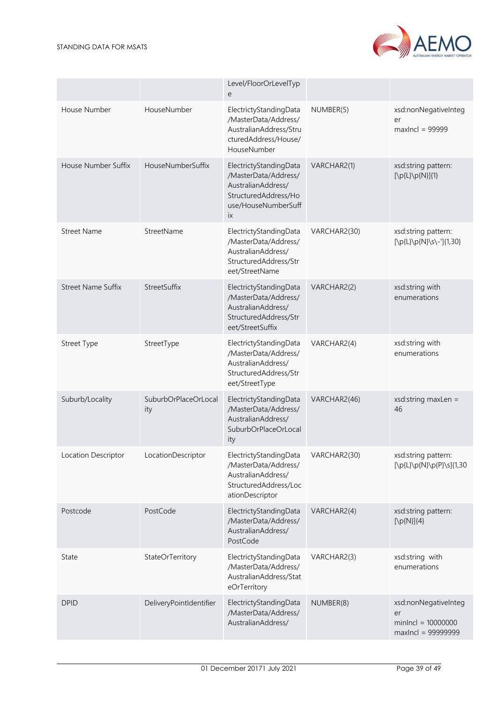

|                           |                             | Level/FloorOrLevelTyp<br>e                                                                                                |              |                                                                          |
|---------------------------|-----------------------------|---------------------------------------------------------------------------------------------------------------------------|--------------|--------------------------------------------------------------------------|
| House Number              | HouseNumber                 | ElectrictyStandingData<br>/MasterData/Address/<br>AustralianAddress/Stru<br>cturedAddress/House/<br>HouseNumber           | NUMBER(5)    | xsd:nonNegativeInteg<br>er<br>$maxIncl = 99999$                          |
| House Number Suffix       | HouseNumberSuffix           | ElectrictyStandingData<br>/MasterData/Address/<br>AustralianAddress/<br>StructuredAddress/Ho<br>use/HouseNumberSuff<br>ix | VARCHAR2(1)  | xsd:string pattern:<br>$[\p{L}\p{D}\p{N}](1)$                            |
| <b>Street Name</b>        | StreetName                  | ElectrictyStandingData<br>/MasterData/Address/<br>AustralianAddress/<br>StructuredAddress/Str<br>eet/StreetName           | VARCHAR2(30) | xsd:string pattern:<br>$[\p{L}\p{N}\s-\frac{1}{1,30}]$                   |
| <b>Street Name Suffix</b> | StreetSuffix                | ElectrictyStandingData<br>/MasterData/Address/<br>AustralianAddress/<br>StructuredAddress/Str<br>eet/StreetSuffix         | VARCHAR2(2)  | xsd:string with<br>enumerations                                          |
| Street Type               | StreetType                  | ElectrictyStandingData<br>/MasterData/Address/<br>AustralianAddress/<br>StructuredAddress/Str<br>eet/StreetType           | VARCHAR2(4)  | xsd:string with<br>enumerations                                          |
| Suburb/Locality           | SuburbOrPlaceOrLocal<br>ity | ElectrictyStandingData<br>/MasterData/Address/<br>AustralianAddress/<br>SuburbOrPlaceOrLocal<br>ity                       | VARCHAR2(46) | xsd:string maxLen =<br>46                                                |
| Location Descriptor       | LocationDescriptor          | ElectrictyStandingData<br>/MasterData/Address/<br>AustralianAddress/<br>StructuredAddress/Loc<br>ationDescriptor          | VARCHAR2(30) | xsd:string pattern:<br>[\p{L}\p{N}\p{P}\s]{1,30                          |
| Postcode                  | PostCode                    | ElectrictyStandingData<br>/MasterData/Address/<br>AustralianAddress/<br>PostCode                                          | VARCHAR2(4)  | xsd:string pattern:<br>$[\pmb{\mathcal{D}}[N]\{4\}]$                     |
| State                     | StateOrTerritory            | ElectrictyStandingData<br>/MasterData/Address/<br>AustralianAddress/Stat<br>eOrTerritory                                  | VARCHAR2(3)  | xsd:string with<br>enumerations                                          |
| <b>DPID</b>               | DeliveryPointIdentifier     | ElectrictyStandingData<br>/MasterData/Address/<br>AustralianAddress/                                                      | NUMBER(8)    | xsd:nonNegativeInteg<br>er<br>minlncl = $10000000$<br>maxIncl = 99999999 |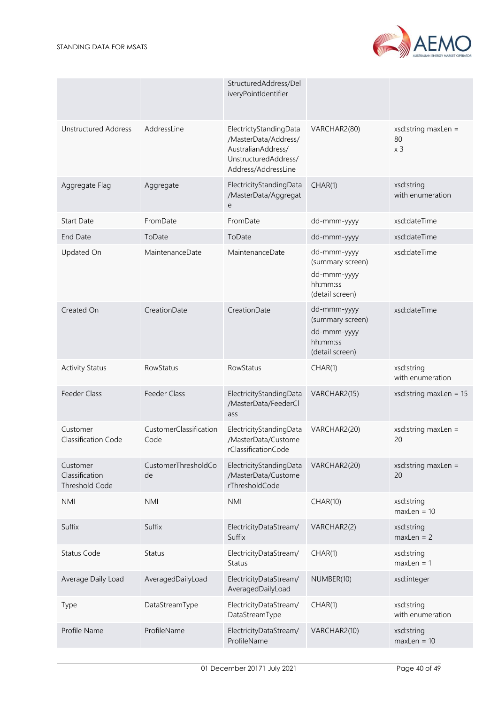

|                                              |                                | StructuredAddress/Del<br>iveryPointIdentifier                                                                       |                                                                               |                                                |
|----------------------------------------------|--------------------------------|---------------------------------------------------------------------------------------------------------------------|-------------------------------------------------------------------------------|------------------------------------------------|
| <b>Unstructured Address</b>                  | AddressLine                    | ElectrictyStandingData<br>/MasterData/Address/<br>AustralianAddress/<br>UnstructuredAddress/<br>Address/AddressLine | VARCHAR2(80)                                                                  | $xs$ d:string maxLen =<br>80<br>x <sub>3</sub> |
| Aggregate Flag                               | Aggregate                      | ElectricityStandingData<br>/MasterData/Aggregat<br>e                                                                | CHAR(1)                                                                       | xsd:string<br>with enumeration                 |
| Start Date                                   | FromDate                       | FromDate                                                                                                            | dd-mmm-yyyy                                                                   | xsd:dateTime                                   |
| End Date                                     | ToDate                         | ToDate                                                                                                              | dd-mmm-yyyy                                                                   | xsd:dateTime                                   |
| Updated On                                   | MaintenanceDate                | MaintenanceDate                                                                                                     | dd-mmm-yyyy<br>(summary screen)<br>dd-mmm-yyyy<br>hh:mm:ss<br>(detail screen) | xsd:dateTime                                   |
| Created On                                   | CreationDate                   | CreationDate                                                                                                        | dd-mmm-yyyy<br>(summary screen)<br>dd-mmm-yyyy<br>hh:mm:ss<br>(detail screen) | xsd:dateTime                                   |
| <b>Activity Status</b>                       | RowStatus                      | RowStatus                                                                                                           | CHAR(1)                                                                       | xsd:string<br>with enumeration                 |
| Feeder Class                                 | Feeder Class                   | ElectricityStandingData<br>/MasterData/FeederCl<br>ass                                                              | VARCHAR2(15)                                                                  | xsd:string maxLen = $15$                       |
| Customer<br>Classification Code              | CustomerClassification<br>Code | ElectricityStandingData<br>/MasterData/Custome<br>rClassificationCode                                               | VARCHAR2(20)                                                                  | xsd:string maxLen =<br>20                      |
| Customer<br>Classification<br>Threshold Code | CustomerThresholdCo<br>de      | ElectricityStandingData<br>/MasterData/Custome<br>rThresholdCode                                                    | VARCHAR2(20)                                                                  | $xs$ d:string maxLen =<br>20                   |
| <b>NMI</b>                                   | <b>NMI</b>                     | <b>NMI</b>                                                                                                          | CHAR(10)                                                                      | xsd:string<br>$maxLen = 10$                    |
| Suffix                                       | Suffix                         | ElectricityDataStream/<br>Suffix                                                                                    | VARCHAR2(2)                                                                   | xsd:string<br>$maxLen = 2$                     |
| Status Code                                  | Status                         | ElectricityDataStream/<br>Status                                                                                    | CHAR(1)                                                                       | xsd:string<br>$maxLen = 1$                     |
| Average Daily Load                           | AveragedDailyLoad              | ElectricityDataStream/<br>AveragedDailyLoad                                                                         | NUMBER(10)                                                                    | xsd:integer                                    |
| Type                                         | DataStreamType                 | ElectricityDataStream/<br>DataStreamType                                                                            | CHAR(1)                                                                       | xsd:string<br>with enumeration                 |
| Profile Name                                 | ProfileName                    | ElectricityDataStream/<br>ProfileName                                                                               | VARCHAR2(10)                                                                  | xsd:string<br>$maxLen = 10$                    |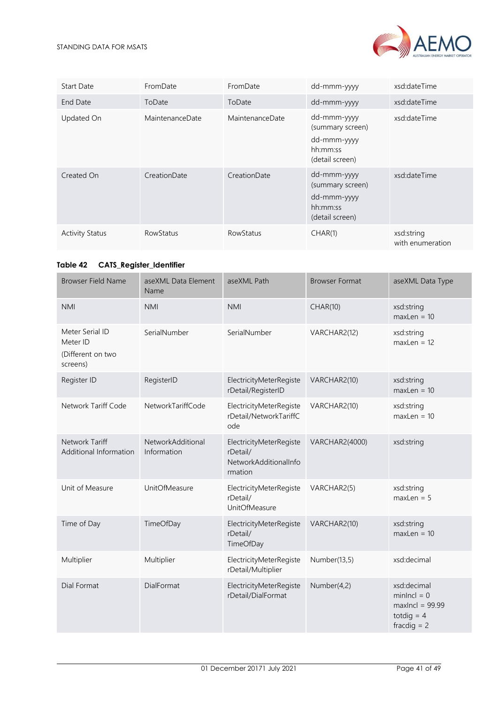

| Start Date             | FromDate         | FromDate         | dd-mmm-yyyy                                                                   | xsd:dateTime                   |
|------------------------|------------------|------------------|-------------------------------------------------------------------------------|--------------------------------|
| End Date               | ToDate           | ToDate           | dd-mmm-yyyy                                                                   | xsd:dateTime                   |
| Updated On             | MaintenanceDate  | MaintenanceDate  | dd-mmm-yyyy<br>(summary screen)<br>dd-mmm-yyyy<br>hh:mm:ss<br>(detail screen) | xsd:dateTime                   |
| Created On             | CreationDate     | CreationDate     | dd-mmm-yyyy<br>(summary screen)<br>dd-mmm-yyyy<br>hh:mm:ss<br>(detail screen) | xsd:dateTime                   |
| <b>Activity Status</b> | <b>RowStatus</b> | <b>RowStatus</b> | CHAR(1)                                                                       | xsd:string<br>with enumeration |

# <span id="page-40-0"></span>**Table 42 CATS\_Register\_Identifier**

| <b>Browser Field Name</b>                                    | aseXML Data Element<br>Name      | aseXML Path                                                             | <b>Browser Format</b> | aseXML Data Type                                                                   |
|--------------------------------------------------------------|----------------------------------|-------------------------------------------------------------------------|-----------------------|------------------------------------------------------------------------------------|
| <b>NMI</b>                                                   | <b>NMI</b>                       | <b>NMI</b>                                                              | <b>CHAR(10)</b>       | xsd:string<br>$maxLen = 10$                                                        |
| Meter Serial ID<br>Meter ID<br>(Different on two<br>screens) | SerialNumber                     | SerialNumber                                                            | VARCHAR2(12)          | xsd:string<br>$maxLen = 12$                                                        |
| Register ID                                                  | RegisterID                       | ElectricityMeterRegiste<br>rDetail/RegisterID                           | VARCHAR2(10)          | xsd:string<br>$maxLen = 10$                                                        |
| Network Tariff Code                                          | NetworkTariffCode                | ElectricityMeterRegiste<br>rDetail/NetworkTariffC<br>ode                | VARCHAR2(10)          | xsd:string<br>$maxLen = 10$                                                        |
| Network Tariff<br>Additional Information                     | NetworkAdditional<br>Information | ElectricityMeterRegiste<br>rDetail/<br>NetworkAdditionalInfo<br>rmation | VARCHAR2(4000)        | xsd:string                                                                         |
| Unit of Measure                                              | UnitOfMeasure                    | ElectricityMeterRegiste<br>rDetail/<br><b>UnitOfMeasure</b>             | VARCHAR2(5)           | xsd:string<br>$maxLen = 5$                                                         |
| Time of Day                                                  | TimeOfDay                        | ElectricityMeterRegiste<br>rDetail/<br>TimeOfDay                        | VARCHAR2(10)          | xsd:string<br>$maxLen = 10$                                                        |
| Multiplier                                                   | Multiplier                       | ElectricityMeterRegiste<br>rDetail/Multiplier                           | Number(13,5)          | xsd:decimal                                                                        |
| Dial Format                                                  | DialFormat                       | ElectricityMeterRegiste<br>rDetail/DialFormat                           | Number(4,2)           | xsd:decimal<br>$minIncl = 0$<br>$maxIncl = 99.99$<br>totdig $=$ 4<br>fracdig $= 2$ |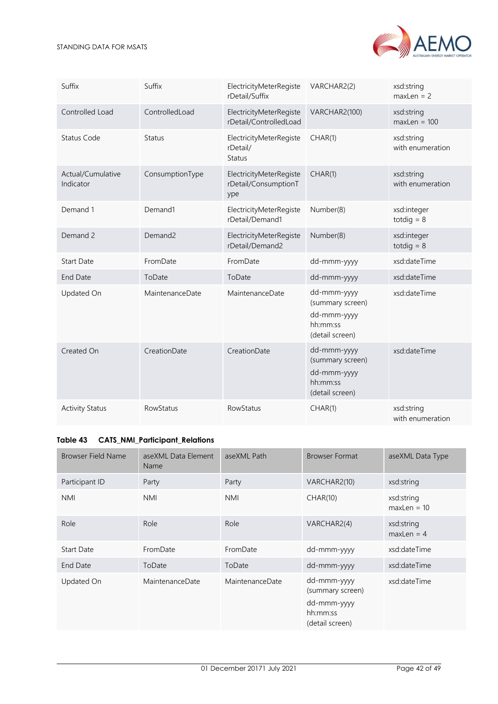| Suffix                         | Suffix          | ElectricityMeterRegiste<br>rDetail/Suffix              | VARCHAR2(2)                                                                   | xsd:string<br>$maxLen = 2$     |
|--------------------------------|-----------------|--------------------------------------------------------|-------------------------------------------------------------------------------|--------------------------------|
| Controlled Load                | ControlledLoad  | ElectricityMeterRegiste<br>rDetail/ControlledLoad      | VARCHAR2(100)                                                                 | xsd:string<br>$maxLen = 100$   |
| <b>Status Code</b>             | <b>Status</b>   | ElectricityMeterRegiste<br>rDetail/<br><b>Status</b>   | CHAR(1)                                                                       | xsd:string<br>with enumeration |
| Actual/Cumulative<br>Indicator | ConsumptionType | ElectricityMeterRegiste<br>rDetail/ConsumptionT<br>ype | CHAR(1)                                                                       | xsd:string<br>with enumeration |
| Demand 1                       | Demand1         | ElectricityMeterRegiste<br>rDetail/Demand1             | Number(8)                                                                     | xsd:integer<br>totdig $= 8$    |
| Demand 2                       | Demand2         | ElectricityMeterRegiste<br>rDetail/Demand2             | Number(8)                                                                     | xsd:integer<br>totdig $= 8$    |
| <b>Start Date</b>              | FromDate        | FromDate                                               | dd-mmm-yyyy                                                                   | xsd:dateTime                   |
| <b>End Date</b>                | ToDate          | ToDate                                                 | dd-mmm-yyyy                                                                   | xsd:dateTime                   |
| Updated On                     | MaintenanceDate | MaintenanceDate                                        | dd-mmm-yyyy<br>(summary screen)<br>dd-mmm-yyyy<br>hh:mm:ss<br>(detail screen) | xsd:dateTime                   |
| Created On                     | CreationDate    | CreationDate                                           | dd-mmm-yyyy<br>(summary screen)<br>dd-mmm-yyyy<br>hh:mm:ss<br>(detail screen) | xsd:dateTime                   |
| <b>Activity Status</b>         | RowStatus       | RowStatus                                              | CHAR(1)                                                                       | xsd:string<br>with enumeration |

# <span id="page-41-0"></span>**Table 43 CATS\_NMI\_Participant\_Relations**

| <b>Browser Field Name</b> | aseXML Data Element<br>Name | aseXML Path     | <b>Browser Format</b>                                                         | aseXML Data Type            |
|---------------------------|-----------------------------|-----------------|-------------------------------------------------------------------------------|-----------------------------|
| Participant ID            | Party                       | Party           | VARCHAR2(10)                                                                  | xsd:string                  |
| <b>NMI</b>                | <b>NMI</b>                  | <b>NMI</b>      | CHAR(10)                                                                      | xsd:string<br>$maxLen = 10$ |
| Role                      | Role                        | Role            | VARCHAR2(4)                                                                   | xsd:string<br>$maxLen = 4$  |
| Start Date                | FromDate                    | FromDate        | dd-mmm-yyyy                                                                   | xsd:dateTime                |
| End Date                  | ToDate                      | ToDate          | dd-mmm-yyyy                                                                   | xsd:dateTime                |
| Updated On                | MaintenanceDate             | MaintenanceDate | dd-mmm-yyyy<br>(summary screen)<br>dd-mmm-yyyy<br>hh:mm:ss<br>(detail screen) | xsd:dateTime                |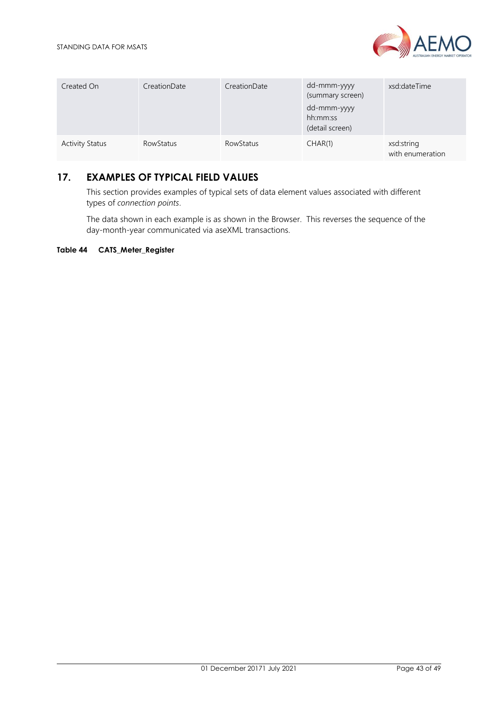

| Created On             | CreationDate | CreationDate | dd-mmm-yyyy<br>(summary screen)<br>dd-mmm-yyyy<br>hh:mm:ss<br>(detail screen) | xsd:dateTime                   |
|------------------------|--------------|--------------|-------------------------------------------------------------------------------|--------------------------------|
| <b>Activity Status</b> | RowStatus    | RowStatus    | CHAR(1)                                                                       | xsd:string<br>with enumeration |

# <span id="page-42-0"></span>**17. EXAMPLES OF TYPICAL FIELD VALUES**

This section provides examples of typical sets of data element values associated with different types of *connection points*.

The data shown in each example is as shown in the Browser. This reverses the sequence of the day-month-year communicated via aseXML transactions.

## <span id="page-42-1"></span>**Table 44 CATS\_Meter\_Register**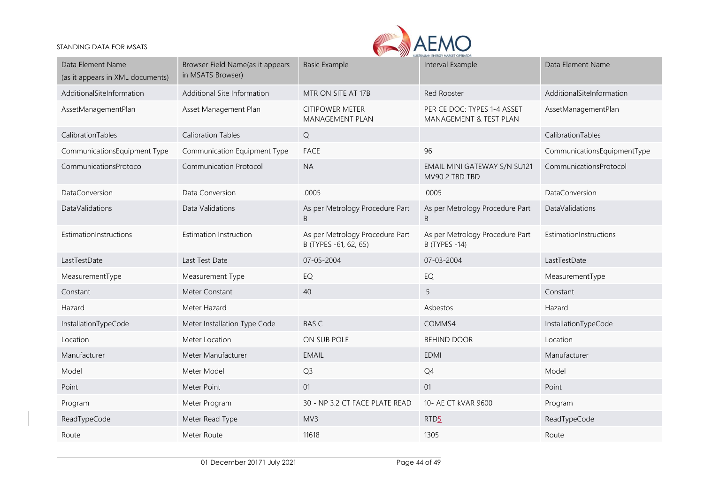

| Data Element Name<br>(as it appears in XML documents) | Browser Field Name(as it appears<br>in MSATS Browser) | <b>Basic Example</b>                                     | Interval Example                                        | Data Element Name           |
|-------------------------------------------------------|-------------------------------------------------------|----------------------------------------------------------|---------------------------------------------------------|-----------------------------|
| AdditionalSiteInformation                             | Additional Site Information                           | MTR ON SITE AT 17B                                       | Red Rooster                                             | AdditionalSiteInformation   |
| AssetManagementPlan                                   | Asset Management Plan                                 | <b>CITIPOWER METER</b><br>MANAGEMENT PLAN                | PER CE DOC: TYPES 1-4 ASSET<br>MANAGEMENT & TEST PLAN   | AssetManagementPlan         |
| CalibrationTables                                     | <b>Calibration Tables</b>                             | Q                                                        |                                                         | CalibrationTables           |
| CommunicationsEquipment Type                          | Communication Equipment Type                          | <b>FACE</b>                                              | 96                                                      | CommunicationsEquipmentType |
| CommunicationsProtocol                                | <b>Communication Protocol</b>                         | <b>NA</b>                                                | EMAIL MINI GATEWAY S/N SU121<br>MV90 2 TBD TBD          | CommunicationsProtocol      |
| DataConversion                                        | Data Conversion                                       | .0005                                                    | .0005                                                   | DataConversion              |
| <b>DataValidations</b>                                | Data Validations                                      | As per Metrology Procedure Part<br>B                     | As per Metrology Procedure Part<br>B.                   | <b>DataValidations</b>      |
| EstimationInstructions                                | <b>Estimation Instruction</b>                         | As per Metrology Procedure Part<br>B (TYPES -61, 62, 65) | As per Metrology Procedure Part<br><b>B</b> (TYPES -14) | EstimationInstructions      |
| LastTestDate                                          | Last Test Date                                        | 07-05-2004                                               | 07-03-2004                                              | LastTestDate                |
| MeasurementType                                       | Measurement Type                                      | EQ                                                       | EQ                                                      | MeasurementType             |
| Constant                                              | Meter Constant                                        | 40                                                       | .5                                                      | Constant                    |
| Hazard                                                | Meter Hazard                                          |                                                          | Asbestos                                                | Hazard                      |
| InstallationTypeCode                                  | Meter Installation Type Code                          | <b>BASIC</b>                                             | COMMS4                                                  | InstallationTypeCode        |
| Location                                              | Meter Location                                        | ON SUB POLE                                              | <b>BEHIND DOOR</b>                                      | Location                    |
| Manufacturer                                          | Meter Manufacturer                                    | <b>EMAIL</b>                                             | <b>EDMI</b>                                             | Manufacturer                |
| Model                                                 | Meter Model                                           | Q <sub>3</sub>                                           | Q4                                                      | Model                       |
| Point                                                 | Meter Point                                           | 01                                                       | 01                                                      | Point                       |
| Program                                               | Meter Program                                         | 30 - NP 3.2 CT FACE PLATE READ                           | 10- AE CT kVAR 9600                                     | Program                     |
| ReadTypeCode                                          | Meter Read Type                                       | MV3                                                      | RTD <sub>5</sub>                                        | ReadTypeCode                |
| Route                                                 | Meter Route                                           | 11618                                                    | 1305                                                    | Route                       |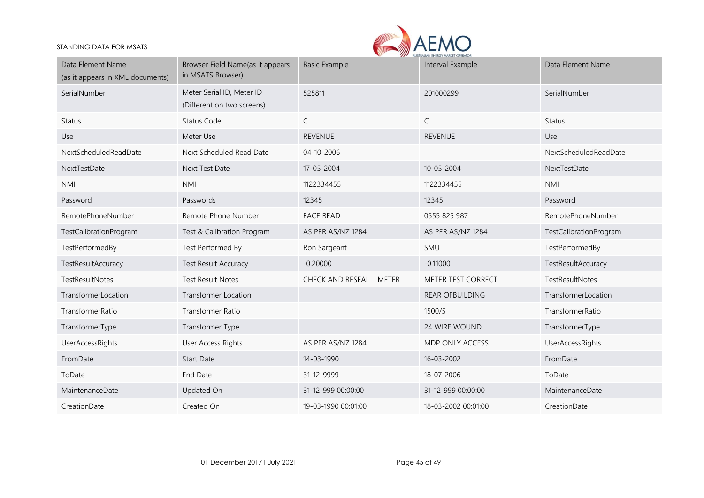

| Data Element Name<br>(as it appears in XML documents) | Browser Field Name(as it appears<br>in MSATS Browser)   | <b>Basic Example</b>   | Interval Example       | Data Element Name      |
|-------------------------------------------------------|---------------------------------------------------------|------------------------|------------------------|------------------------|
| SerialNumber                                          | Meter Serial ID, Meter ID<br>(Different on two screens) | 525811                 | 201000299              | SerialNumber           |
| <b>Status</b>                                         | Status Code                                             | $\mathsf{C}$           | $\mathsf{C}$           | <b>Status</b>          |
| Use                                                   | Meter Use                                               | <b>REVENUE</b>         | <b>REVENUE</b>         | Use                    |
| NextScheduledReadDate                                 | Next Scheduled Read Date                                | 04-10-2006             |                        | NextScheduledReadDate  |
| NextTestDate                                          | Next Test Date                                          | 17-05-2004             | 10-05-2004             | NextTestDate           |
| <b>NMI</b>                                            | <b>NMI</b>                                              | 1122334455             | 1122334455             | <b>NMI</b>             |
| Password                                              | Passwords                                               | 12345                  | 12345                  | Password               |
| RemotePhoneNumber                                     | Remote Phone Number                                     | <b>FACE READ</b>       | 0555 825 987           | RemotePhoneNumber      |
| TestCalibrationProgram                                | Test & Calibration Program                              | AS PER AS/NZ 1284      | AS PER AS/NZ 1284      | TestCalibrationProgram |
| TestPerformedBy                                       | Test Performed By                                       | Ron Sargeant           | SMU                    | TestPerformedBy        |
| TestResultAccuracy                                    | <b>Test Result Accuracy</b>                             | $-0.20000$             | $-0.11000$             | TestResultAccuracy     |
| TestResultNotes                                       | <b>Test Result Notes</b>                                | CHECK AND RESEAL METER | METER TEST CORRECT     | TestResultNotes        |
| TransformerLocation                                   | <b>Transformer Location</b>                             |                        | <b>REAR OFBUILDING</b> | TransformerLocation    |
| TransformerRatio                                      | Transformer Ratio                                       |                        | 1500/5                 | TransformerRatio       |
| TransformerType                                       | Transformer Type                                        |                        | 24 WIRE WOUND          | TransformerType        |
| <b>UserAccessRights</b>                               | <b>User Access Rights</b>                               | AS PER AS/NZ 1284      | MDP ONLY ACCESS        | UserAccessRights       |
| FromDate                                              | <b>Start Date</b>                                       | 14-03-1990             | 16-03-2002             | FromDate               |
| ToDate                                                | End Date                                                | 31-12-9999             | 18-07-2006             | ToDate                 |
| MaintenanceDate                                       | Updated On                                              | 31-12-999 00:00:00     | 31-12-999 00:00:00     | MaintenanceDate        |
| CreationDate                                          | Created On                                              | 19-03-1990 00:01:00    | 18-03-2002 00:01:00    | CreationDate           |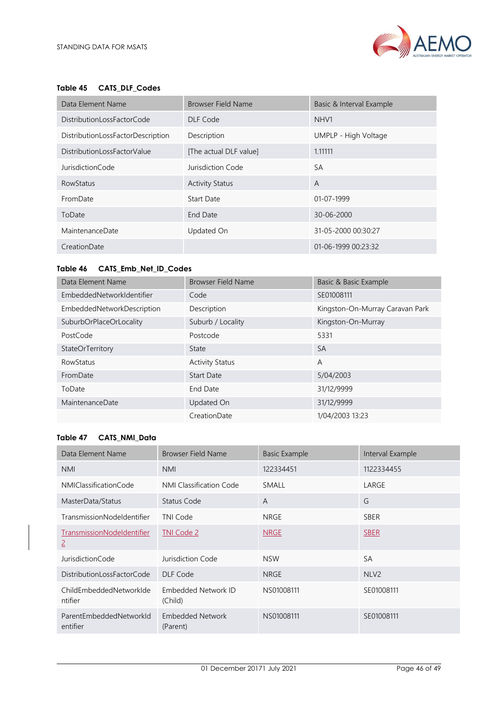

## <span id="page-45-0"></span>**Table 45 CATS\_DLF\_Codes**

| Data Element Name                 | Browser Field Name     | Basic & Interval Example |
|-----------------------------------|------------------------|--------------------------|
| DistributionLossFactorCode        | DLF Code               | NHV <sub>1</sub>         |
| DistributionLossFactorDescription | Description            | UMPLP - High Voltage     |
| DistributionLossFactorValue       | [The actual DLF value] | 1.11111                  |
| JurisdictionCode                  | Jurisdiction Code      | <b>SA</b>                |
| <b>RowStatus</b>                  | <b>Activity Status</b> | A                        |
| FromDate                          | <b>Start Date</b>      | $01 - 07 - 1999$         |
| ToDate                            | End Date               | $30 - 06 - 2000$         |
| MaintenanceDate                   | Updated On             | 31-05-2000 00:30:27      |
| CreationDate                      |                        | 01-06-1999 00:23:32      |

## <span id="page-45-1"></span>**Table 46 CATS\_Emb\_Net\_ID\_Codes**

| Data Element Name          | <b>Browser Field Name</b> | Basic & Basic Example           |
|----------------------------|---------------------------|---------------------------------|
| EmbeddedNetworkIdentifier  | Code                      | SE01008111                      |
| EmbeddedNetworkDescription | Description               | Kingston-On-Murray Caravan Park |
| SuburbOrPlaceOrLocality    | Suburb / Locality         | Kingston-On-Murray              |
| PostCode                   | Postcode                  | 5331                            |
| StateOrTerritory           | State                     | <b>SA</b>                       |
| <b>RowStatus</b>           | <b>Activity Status</b>    | A                               |
| FromDate                   | <b>Start Date</b>         | 5/04/2003                       |
| ToDate                     | End Date                  | 31/12/9999                      |
| <b>MaintenanceDate</b>     | Updated On                | 31/12/9999                      |
|                            | CreationDate              | 1/04/2003 13:23                 |

## <span id="page-45-2"></span>**Table 47 CATS\_NMI\_Data**

| Data Element Name                   | <b>Browser Field Name</b>      | <b>Basic Example</b> | Interval Example |
|-------------------------------------|--------------------------------|----------------------|------------------|
| <b>NMI</b>                          | <b>NMI</b>                     | 122334451            | 1122334455       |
| NMIClassificationCode               | NMI Classification Code        | SMALL                | LARGE            |
| MasterData/Status                   | Status Code                    | A                    | G                |
| TransmissionNodeldentifier          | TNI Code                       | NRGE                 | <b>SBER</b>      |
| TransmissionNodeldentifier<br>2     | TNI Code 2                     | <b>NRGE</b>          | <b>SBER</b>      |
| <b>JurisdictionCode</b>             | Jurisdiction Code              | <b>NSW</b>           | <b>SA</b>        |
| DistributionLossFactorCode          | DLF Code                       | <b>NRGE</b>          | NLV <sub>2</sub> |
| ChildEmbeddedNetworkIde<br>ntifier  | Embedded Network ID<br>(Child) | NS01008111           | SE01008111       |
| ParentEmbeddedNetworkId<br>entifier | Embedded Network<br>(Parent)   | NS01008111           | SE01008111       |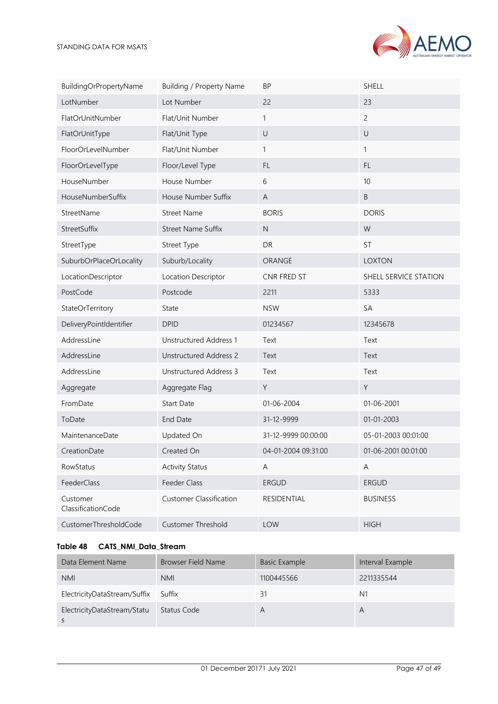

| BuildingOrPropertyName         | Building / Property Name       | <b>BP</b>           | <b>SHELL</b>          |
|--------------------------------|--------------------------------|---------------------|-----------------------|
| LotNumber                      | Lot Number                     | 22                  | 23                    |
| FlatOrUnitNumber               | Flat/Unit Number               | 1                   | $\overline{c}$        |
| FlatOrUnitType                 | Flat/Unit Type                 | $\cup$              | $\cup$                |
| FloorOrLevelNumber             | Flat/Unit Number               | 1                   | 1                     |
| FloorOrLevelType               | Floor/Level Type               | FL                  | FL.                   |
| HouseNumber                    | House Number                   | 6                   | 10                    |
| HouseNumberSuffix              | House Number Suffix            | A                   | B                     |
| StreetName                     | <b>Street Name</b>             | <b>BORIS</b>        | <b>DORIS</b>          |
| StreetSuffix                   | <b>Street Name Suffix</b>      | $\mathsf{N}$        | W                     |
| StreetType                     | Street Type                    | DR                  | ST                    |
| SuburbOrPlaceOrLocality        | Suburb/Locality                | ORANGE              | <b>LOXTON</b>         |
| LocationDescriptor             | Location Descriptor            | CNR FRED ST         | SHELL SERVICE STATION |
| PostCode                       | Postcode                       | 2211                | 5333                  |
| StateOrTerritory               | State                          | <b>NSW</b>          | SA                    |
| DeliveryPointIdentifier        | <b>DPID</b>                    | 01234567            | 12345678              |
| AddressLine                    | <b>Unstructured Address 1</b>  | Text                | Text                  |
| AddressLine                    | <b>Unstructured Address 2</b>  | Text                | Text                  |
| AddressLine                    | Unstructured Address 3         | Text                | Text                  |
| Aggregate                      | Aggregate Flag                 | Υ                   | Y                     |
| FromDate                       | <b>Start Date</b>              | 01-06-2004          | 01-06-2001            |
| ToDate                         | End Date                       | 31-12-9999          | 01-01-2003            |
| MaintenanceDate                | Updated On                     | 31-12-9999 00:00:00 | 05-01-2003 00:01:00   |
| CreationDate                   | Created On                     | 04-01-2004 09:31:00 | 01-06-2001 00:01:00   |
| RowStatus                      | <b>Activity Status</b>         | $\mathsf A$         | A                     |
| FeederClass                    | Feeder Class                   | ERGUD               | <b>ERGUD</b>          |
| Customer<br>ClassificationCode | <b>Customer Classification</b> | RESIDENTIAL         | <b>BUSINESS</b>       |
| CustomerThresholdCode          | Customer Threshold             | LOW                 | <b>HIGH</b>           |

# <span id="page-46-0"></span>**Table 48 CATS\_NMI\_Data\_Stream**

| Data Element Name                   | Browser Field Name | Basic Example | Interval Example |
|-------------------------------------|--------------------|---------------|------------------|
| <b>NMI</b>                          | <b>NMI</b>         | 1100445566    | 2211335544       |
| ElectricityDataStream/Suffix Suffix |                    | 31            | N <sub>1</sub>   |
| ElectricityDataStream/Statu         | Status Code        | А             | A                |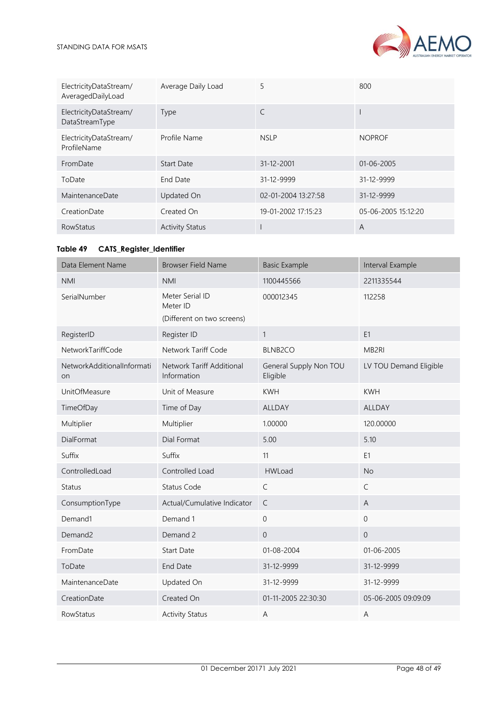

| ElectricityDataStream/<br>AveragedDailyLoad | Average Daily Load     | 5                   | 800                 |
|---------------------------------------------|------------------------|---------------------|---------------------|
| ElectricityDataStream/<br>DataStreamType    | Type                   | C                   |                     |
| ElectricityDataStream/<br>ProfileName       | Profile Name           | <b>NSLP</b>         | <b>NOPROF</b>       |
| FromDate                                    | <b>Start Date</b>      | 31-12-2001          | $01 - 06 - 2005$    |
| ToDate                                      | End Date               | 31-12-9999          | 31-12-9999          |
| MaintenanceDate                             | Updated On             | 02-01-2004 13:27:58 | 31-12-9999          |
| CreationDate                                | Created On             | 19-01-2002 17:15:23 | 05-06-2005 15:12:20 |
| <b>RowStatus</b>                            | <b>Activity Status</b> |                     | A                   |

## <span id="page-47-0"></span>**Table 49 CATS\_Register\_Identifier**

| Data Element Name                       | <b>Browser Field Name</b>                                 | <b>Basic Example</b>               | Interval Example       |
|-----------------------------------------|-----------------------------------------------------------|------------------------------------|------------------------|
| <b>NMI</b>                              | <b>NMI</b>                                                | 1100445566                         | 2211335544             |
| SerialNumber                            | Meter Serial ID<br>Meter ID<br>(Different on two screens) | 000012345                          | 112258                 |
| RegisterID                              | Register ID                                               | $\mathbf{1}$                       | E <sub>1</sub>         |
| NetworkTariffCode                       | Network Tariff Code                                       | <b>BLNB2CO</b>                     | MB2RI                  |
| NetworkAdditionalInformati<br><b>on</b> | Network Tariff Additional<br>Information                  | General Supply Non TOU<br>Eligible | LV TOU Demand Eligible |
| <b>UnitOfMeasure</b>                    | Unit of Measure                                           | <b>KWH</b>                         | <b>KWH</b>             |
| TimeOfDay                               | Time of Day                                               | <b>ALLDAY</b>                      | <b>ALLDAY</b>          |
| Multiplier                              | Multiplier                                                | 1.00000                            | 120.00000              |
| DialFormat                              | Dial Format                                               | 5.00                               | 5.10                   |
| Suffix                                  | Suffix                                                    | 11                                 | E1                     |
| ControlledLoad                          | Controlled Load                                           | <b>HWLoad</b>                      | <b>No</b>              |
| <b>Status</b>                           | <b>Status Code</b>                                        | $\mathsf{C}$                       | $\mathsf{C}$           |
| ConsumptionType                         | Actual/Cumulative Indicator                               | $\mathsf C$                        | A                      |
| Demand1                                 | Demand 1                                                  | $\mathbf 0$                        | $\mathbf 0$            |
| Demand <sub>2</sub>                     | Demand 2                                                  | $\overline{0}$                     | $\mathbf 0$            |
| FromDate                                | <b>Start Date</b>                                         | 01-08-2004                         | 01-06-2005             |
| ToDate                                  | <b>End Date</b>                                           | 31-12-9999                         | 31-12-9999             |
| MaintenanceDate                         | Updated On                                                | 31-12-9999                         | 31-12-9999             |
| CreationDate                            | Created On                                                | 01-11-2005 22:30:30                | 05-06-2005 09:09:09    |
| RowStatus                               | <b>Activity Status</b>                                    | A                                  | A                      |